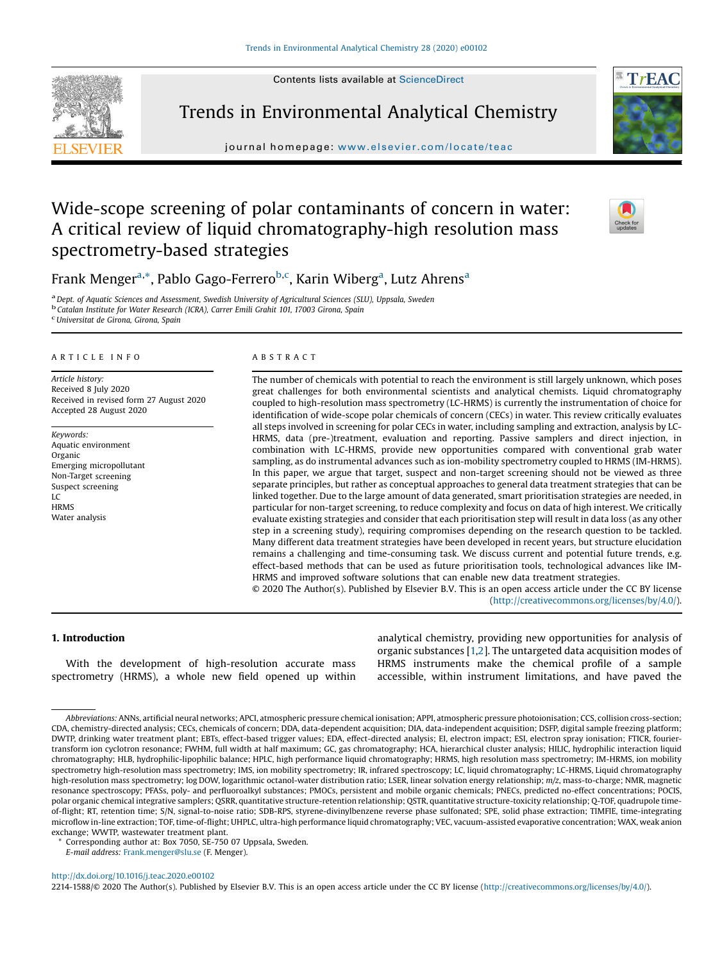

Trends in Environmental Analytical Chemistry

journal homepage: <www.elsevier.com/locate/teac>



# Wide-scope screening of polar contaminants of concern in water: A critical review of liquid chromatography-high resolution mass spectrometry-based strategies



## Frank Menger<sup>a,</sup>\*, Pablo Gago-Ferrero<sup>b,c</sup>, Karin Wiberg<sup>a</sup>, Lutz Ahrens<sup>a</sup>

<sup>a</sup> Dept. of Aquatic Sciences and Assessment, Swedish University of Agricultural Sciences (SLU), Uppsala, Sweden b Catalan Institute for Water Research (ICRA), Carrer Emili Grahit 101, 17003 Girona, Spain Universitat de Girona, Girona, Spain

#### A R T I C L E I N F O

Article history: Received 8 July 2020 Received in revised form 27 August 2020 Accepted 28 August 2020

Keywords: Aquatic environment Organic Emerging micropollutant Non-Target screening Suspect screening LC HRMS Water analysis

## A B S T R A C T

The number of chemicals with potential to reach the environment is still largely unknown, which poses great challenges for both environmental scientists and analytical chemists. Liquid chromatography coupled to high-resolution mass spectrometry (LC-HRMS) is currently the instrumentation of choice for identification of wide-scope polar chemicals of concern (CECs) in water. This review critically evaluates all steps involved in screening for polar CECs in water, including sampling and extraction, analysis by LC-HRMS, data (pre-)treatment, evaluation and reporting. Passive samplers and direct injection, in combination with LC-HRMS, provide new opportunities compared with conventional grab water sampling, as do instrumental advances such as ion-mobility spectrometry coupled to HRMS (IM-HRMS). In this paper, we argue that target, suspect and non-target screening should not be viewed as three separate principles, but rather as conceptual approaches to general data treatment strategies that can be linked together. Due to the large amount of data generated, smart prioritisation strategies are needed, in particular for non-target screening, to reduce complexity and focus on data of high interest. We critically evaluate existing strategies and consider that each prioritisation step will result in data loss (as any other step in a screening study), requiring compromises depending on the research question to be tackled. Many different data treatment strategies have been developed in recent years, but structure elucidation remains a challenging and time-consuming task. We discuss current and potential future trends, e.g. effect-based methods that can be used as future prioritisation tools, technological advances like IM-HRMS and improved software solutions that can enable new data treatment strategies. © 2020 The Author(s). Published by Elsevier B.V. This is an open access article under the CC BY license

[\(http://creativecommons.org/licenses/by/4.0/](http://creativecommons.org/licenses/by/4.0/)).

## 1. Introduction

With the development of high-resolution accurate mass spectrometry (HRMS), a whole new field opened up within analytical chemistry, providing new opportunities for analysis of organic substances [\[1,2](#page-7-0)]. The untargeted data acquisition modes of HRMS instruments make the chemical profile of a sample accessible, within instrument limitations, and have paved the

Corresponding author at: Box 7050, SE-750 07 Uppsala, Sweden.

E-mail address: [Frank.menger@slu.se](mailto:Frank.menger@slu.se) (F. Menger).

#### <http://dx.doi.org/10.1016/j.teac.2020.e00102>

2214-1588/© 2020 The Author(s). Published by Elsevier B.V. This is an open access article under the CC BY license [\(http://creativecommons.org/licenses/by/4.0/\)](http://creativecommons.org/licenses/by/4.0/).

Abbreviations: ANNs, artificial neural networks; APCI, atmospheric pressure chemical ionisation; APPI, atmospheric pressure photoionisation; CCS, collision cross-section; CDA, chemistry-directed analysis; CECs, chemicals of concern; DDA, data-dependent acquisition; DIA, data-independent acquisition; DSFP, digital sample freezing platform; DWTP, drinking water treatment plant; EBTs, effect-based trigger values; EDA, effect-directed analysis; EI, electron impact; ESI, electron spray ionisation; FTICR, fouriertransform ion cyclotron resonance; FWHM, full width at half maximum; GC, gas chromatography; HCA, hierarchical cluster analysis; HILIC, hydrophilic interaction liquid chromatography; HLB, hydrophilic-lipophilic balance; HPLC, high performance liquid chromatography; HRMS, high resolution mass spectrometry; IM-HRMS, ion mobility spectrometry high-resolution mass spectrometry; IMS, ion mobility spectrometry; IR, infrared spectroscopy; LC, liquid chromatography; LC-HRMS, Liquid chromatography high-resolution mass spectrometry; log DOW, logarithmic octanol-water distribution ratio; LSER, linear solvation energy relationship; m/z, mass-to-charge; NMR, magnetic resonance spectroscopy; PFASs, poly- and perfluoroalkyl substances; PMOCs, persistent and mobile organic chemicals; PNECs, predicted no-effect concentrations; POCIS, polar organic chemical integrative samplers; QSRR, quantitative structure-retention relationship; QSTR, quantitative structure-toxicity relationship; Q-TOF, quadrupole timeof-flight; RT, retention time; S/N, signal-to-noise ratio; SDB-RPS, styrene-divinylbenzene reverse phase sulfonated; SPE, solid phase extraction; TIMFIE, time-integrating microflow in-line extraction; TOF,time-of-flight; UHPLC, ultra-high performance liquid chromatography; VEC, vacuum-assisted evaporative concentration; WAX, weak anion exchange; WWTP, wastewater treatment plant.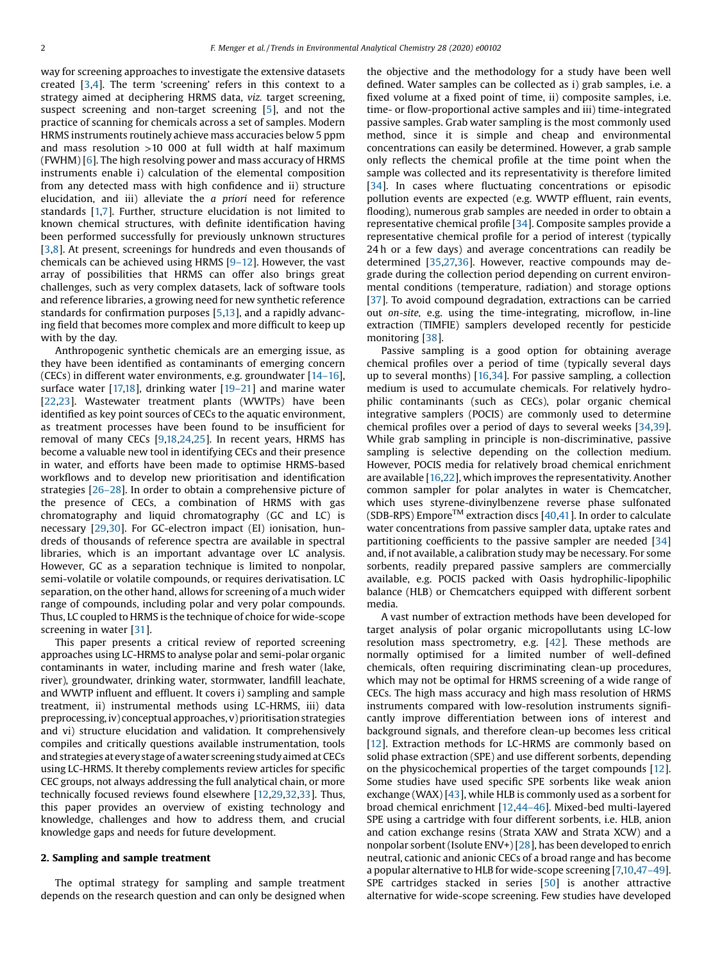way for screening approaches to investigate the extensive datasets created [[3,4](#page-7-0)]. The term 'screening' refers in this context to a strategy aimed at deciphering HRMS data, viz. target screening, suspect screening and non-target screening [[5\]](#page-7-0), and not the practice of scanning for chemicals across a set of samples. Modern HRMS instruments routinely achieve mass accuracies below 5 ppm and mass resolution  $>10$  000 at full width at half maximum (FWHM) [\[6](#page-7-0)]. The high resolving power and mass accuracy of HRMS instruments enable i) calculation of the elemental composition from any detected mass with high confidence and ii) structure elucidation, and iii) alleviate the a priori need for reference standards [\[1,7](#page-7-0)]. Further, structure elucidation is not limited to known chemical structures, with definite identification having been performed successfully for previously unknown structures [[3](#page-7-0),[8](#page-7-0)]. At present, screenings for hundreds and even thousands of chemicals can be achieved using HRMS [9–[12\]](#page-7-0). However, the vast array of possibilities that HRMS can offer also brings great challenges, such as very complex datasets, lack of software tools and reference libraries, a growing need for new synthetic reference standards for confirmation purposes [[5,13](#page-7-0)], and a rapidly advancing field that becomes more complex and more difficult to keep up with by the day.

Anthropogenic synthetic chemicals are an emerging issue, as they have been identified as contaminants of emerging concern (CECs) in different water environments, e.g. groundwater [14–[16\]](#page-7-0), surface water [\[17,](#page-7-0)[18](#page-8-0)], drinking water [19–[21\]](#page-8-0) and marine water [[22,23](#page-8-0)]. Wastewater treatment plants (WWTPs) have been identified as key point sources of CECs to the aquatic environment, as treatment processes have been found to be insufficient for removal of many CECs [[9](#page-7-0),[18,24](#page-8-0),[25\]](#page-8-0). In recent years, HRMS has become a valuable new tool in identifying CECs and their presence in water, and efforts have been made to optimise HRMS-based workflows and to develop new prioritisation and identification strategies [\[26](#page-8-0)–28]. In order to obtain a comprehensive picture of the presence of CECs, a combination of HRMS with gas chromatography and liquid chromatography (GC and LC) is necessary [\[29,30](#page-8-0)]. For GC-electron impact (EI) ionisation, hundreds of thousands of reference spectra are available in spectral libraries, which is an important advantage over LC analysis. However, GC as a separation technique is limited to nonpolar, semi-volatile or volatile compounds, or requires derivatisation. LC separation, on the other hand, allows for screening of a much wider range of compounds, including polar and very polar compounds. Thus, LC coupled to HRMS is the technique of choice for wide-scope screening in water [[31](#page-8-0)].

This paper presents a critical review of reported screening approaches using LC-HRMS to analyse polar and semi-polar organic contaminants in water, including marine and fresh water (lake, river), groundwater, drinking water, stormwater, landfill leachate, and WWTP influent and effluent. It covers i) sampling and sample treatment, ii) instrumental methods using LC-HRMS, iii) data preprocessing, iv) conceptual approaches, v) prioritisation strategies and vi) structure elucidation and validation. It comprehensively compiles and critically questions available instrumentation, tools and strategies at every stage of a water screening study aimed at CECs using LC-HRMS. It thereby complements review articles for specific CEC groups, not always addressing the full analytical chain, or more technically focused reviews found elsewhere [\[12,](#page-7-0)[29,32,33](#page-8-0)]. Thus, this paper provides an overview of existing technology and knowledge, challenges and how to address them, and crucial knowledge gaps and needs for future development.

## 2. Sampling and sample treatment

The optimal strategy for sampling and sample treatment depends on the research question and can only be designed when the objective and the methodology for a study have been well defined. Water samples can be collected as i) grab samples, i.e. a fixed volume at a fixed point of time, ii) composite samples, i.e. time- or flow-proportional active samples and iii) time-integrated passive samples. Grab water sampling is the most commonly used method, since it is simple and cheap and environmental concentrations can easily be determined. However, a grab sample only reflects the chemical profile at the time point when the sample was collected and its representativity is therefore limited [[34](#page-8-0)]. In cases where fluctuating concentrations or episodic pollution events are expected (e.g. WWTP effluent, rain events, flooding), numerous grab samples are needed in order to obtain a representative chemical profile [[34](#page-8-0)]. Composite samples provide a representative chemical profile for a period of interest (typically 24 h or a few days) and average concentrations can readily be determined [[35,27,36](#page-8-0)]. However, reactive compounds may degrade during the collection period depending on current environmental conditions (temperature, radiation) and storage options [[37](#page-8-0)]. To avoid compound degradation, extractions can be carried out on-site, e.g. using the time-integrating, microflow, in-line extraction (TIMFIE) samplers developed recently for pesticide monitoring [\[38](#page-8-0)].

Passive sampling is a good option for obtaining average chemical profiles over a period of time (typically several days up to several months) [\[16](#page-7-0),[34](#page-8-0)]. For passive sampling, a collection medium is used to accumulate chemicals. For relatively hydrophilic contaminants (such as CECs), polar organic chemical integrative samplers (POCIS) are commonly used to determine chemical profiles over a period of days to several weeks [\[34,39\]](#page-8-0). While grab sampling in principle is non-discriminative, passive sampling is selective depending on the collection medium. However, POCIS media for relatively broad chemical enrichment are available [[16,](#page-7-0)[22](#page-8-0)], which improves the representativity. Another common sampler for polar analytes in water is Chemcatcher, which uses styrene-divinylbenzene reverse phase sulfonated (SDB-RPS) Empore<sup>TM</sup> extraction discs [\[40,41](#page-8-0)]. In order to calculate water concentrations from passive sampler data, uptake rates and partitioning coefficients to the passive sampler are needed [[34](#page-8-0)] and, if not available, a calibration study may be necessary. For some sorbents, readily prepared passive samplers are commercially available, e.g. POCIS packed with Oasis hydrophilic-lipophilic balance (HLB) or Chemcatchers equipped with different sorbent media.

A vast number of extraction methods have been developed for target analysis of polar organic micropollutants using LC-low resolution mass spectrometry, e.g. [\[42](#page-8-0)]. These methods are normally optimised for a limited number of well-defined chemicals, often requiring discriminating clean-up procedures, which may not be optimal for HRMS screening of a wide range of CECs. The high mass accuracy and high mass resolution of HRMS instruments compared with low-resolution instruments significantly improve differentiation between ions of interest and background signals, and therefore clean-up becomes less critical [[12](#page-7-0)]. Extraction methods for LC-HRMS are commonly based on solid phase extraction (SPE) and use different sorbents, depending on the physicochemical properties of the target compounds [\[12\]](#page-7-0). Some studies have used specific SPE sorbents like weak anion exchange (WAX) [[43\]](#page-8-0), while HLB is commonly used as a sorbent for broad chemical enrichment [\[12,](#page-7-0)44–[46\]](#page-8-0). Mixed-bed multi-layered SPE using a cartridge with four different sorbents, i.e. HLB, anion and cation exchange resins (Strata XAW and Strata XCW) and a nonpolar sorbent (Isolute ENV+) [\[28](#page-8-0)], has been developed to enrich neutral, cationic and anionic CECs of a broad range and has become a popular alternative to HLB for wide-scope screening [\[7,10](#page-7-0),47–[49\]](#page-8-0). SPE cartridges stacked in series [[50](#page-8-0)] is another attractive alternative for wide-scope screening. Few studies have developed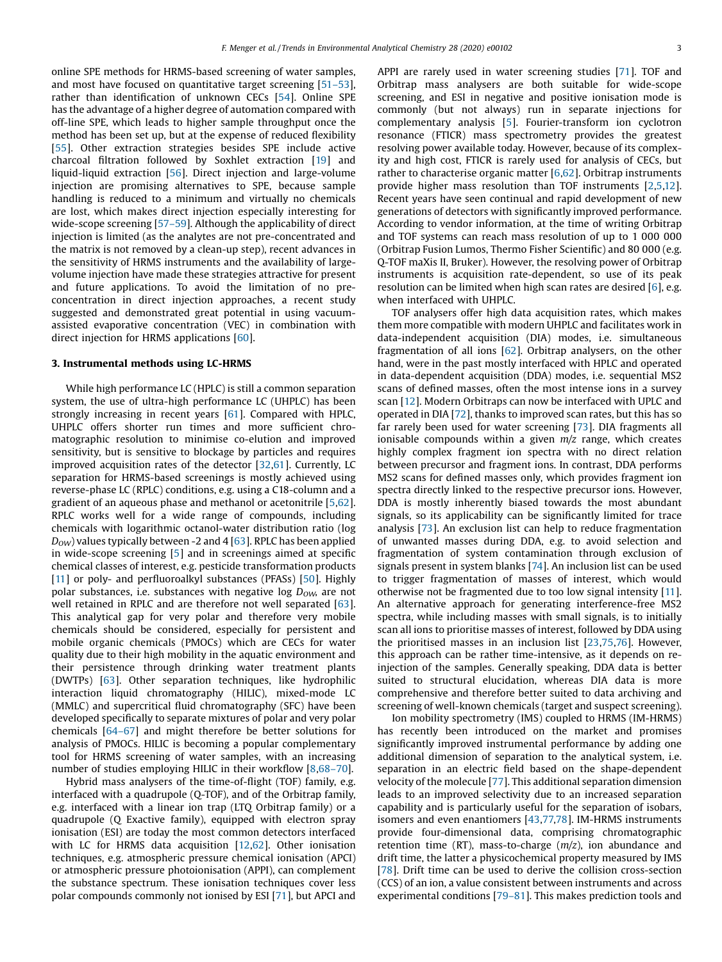online SPE methods for HRMS-based screening of water samples, and most have focused on quantitative target screening [51–[53\]](#page-8-0), rather than identification of unknown CECs [[54](#page-8-0)]. Online SPE has the advantage of a higher degree of automation compared with off-line SPE, which leads to higher sample throughput once the method has been set up, but at the expense of reduced flexibility [[55](#page-8-0)]. Other extraction strategies besides SPE include active charcoal filtration followed by Soxhlet extraction [\[19](#page-8-0)] and liquid-liquid extraction [\[56\]](#page-8-0). Direct injection and large-volume injection are promising alternatives to SPE, because sample handling is reduced to a minimum and virtually no chemicals are lost, which makes direct injection especially interesting for wide-scope screening [\[57](#page-9-0)–59]. Although the applicability of direct injection is limited (as the analytes are not pre-concentrated and the matrix is not removed by a clean-up step), recent advances in the sensitivity of HRMS instruments and the availability of largevolume injection have made these strategies attractive for present and future applications. To avoid the limitation of no preconcentration in direct injection approaches, a recent study suggested and demonstrated great potential in using vacuumassisted evaporative concentration (VEC) in combination with direct injection for HRMS applications [[60](#page-9-0)].

### 3. Instrumental methods using LC-HRMS

While high performance LC (HPLC) is still a common separation system, the use of ultra-high performance LC (UHPLC) has been strongly increasing in recent years [[61](#page-9-0)]. Compared with HPLC, UHPLC offers shorter run times and more sufficient chromatographic resolution to minimise co-elution and improved sensitivity, but is sensitive to blockage by particles and requires improved acquisition rates of the detector [[32,](#page-8-0)[61](#page-9-0)]. Currently, LC separation for HRMS-based screenings is mostly achieved using reverse-phase LC (RPLC) conditions, e.g. using a C18-column and a gradient of an aqueous phase and methanol or acetonitrile [[5,](#page-7-0)[62](#page-9-0)]. RPLC works well for a wide range of compounds, including chemicals with logarithmic octanol-water distribution ratio (log  $D_{\text{OW}}$ ) values typically between -2 and 4 [\[63](#page-9-0)]. RPLC has been applied in wide-scope screening [\[5](#page-7-0)] and in screenings aimed at specific chemical classes of interest, e.g. pesticide transformation products [[11](#page-7-0)] or poly- and perfluoroalkyl substances (PFASs) [\[50](#page-8-0)]. Highly polar substances, i.e. substances with negative log  $D<sub>OW</sub>$ , are not well retained in RPLC and are therefore not well separated [[63](#page-9-0)]. This analytical gap for very polar and therefore very mobile chemicals should be considered, especially for persistent and mobile organic chemicals (PMOCs) which are CECs for water quality due to their high mobility in the aquatic environment and their persistence through drinking water treatment plants (DWTPs) [\[63](#page-9-0)]. Other separation techniques, like hydrophilic interaction liquid chromatography (HILIC), mixed-mode LC (MMLC) and supercritical fluid chromatography (SFC) have been developed specifically to separate mixtures of polar and very polar chemicals [64–[67\]](#page-9-0) and might therefore be better solutions for analysis of PMOCs. HILIC is becoming a popular complementary tool for HRMS screening of water samples, with an increasing number of studies employing HILIC in their workflow [[8](#page-7-0),[68](#page-9-0)–70].

Hybrid mass analysers of the time-of-flight (TOF) family, e.g. interfaced with a quadrupole (Q-TOF), and of the Orbitrap family, e.g. interfaced with a linear ion trap (LTQ Orbitrap family) or a quadrupole (Q Exactive family), equipped with electron spray ionisation (ESI) are today the most common detectors interfaced with LC for HRMS data acquisition [[12](#page-7-0)[,62](#page-9-0)]. Other ionisation techniques, e.g. atmospheric pressure chemical ionisation (APCI) or atmospheric pressure photoionisation (APPI), can complement the substance spectrum. These ionisation techniques cover less polar compounds commonly not ionised by ESI [[71](#page-9-0)], but APCI and APPI are rarely used in water screening studies [[71](#page-9-0)]. TOF and Orbitrap mass analysers are both suitable for wide-scope screening, and ESI in negative and positive ionisation mode is commonly (but not always) run in separate injections for complementary analysis [[5](#page-7-0)]. Fourier-transform ion cyclotron resonance (FTICR) mass spectrometry provides the greatest resolving power available today. However, because of its complexity and high cost, FTICR is rarely used for analysis of CECs, but rather to characterise organic matter [\[6](#page-7-0)[,62](#page-9-0)]. Orbitrap instruments provide higher mass resolution than TOF instruments [[2,5,12](#page-7-0)]. Recent years have seen continual and rapid development of new generations of detectors with significantly improved performance. According to vendor information, at the time of writing Orbitrap and TOF systems can reach mass resolution of up to 1 000 000 (Orbitrap Fusion Lumos, Thermo Fisher Scientific) and 80 000 (e.g. Q-TOF maXis II, Bruker). However, the resolving power of Orbitrap instruments is acquisition rate-dependent, so use of its peak resolution can be limited when high scan rates are desired  $[6]$  $[6]$ , e.g. when interfaced with UHPLC.

TOF analysers offer high data acquisition rates, which makes them more compatible with modern UHPLC and facilitates work in data-independent acquisition (DIA) modes, i.e. simultaneous fragmentation of all ions [[62](#page-9-0)]. Orbitrap analysers, on the other hand, were in the past mostly interfaced with HPLC and operated in data-dependent acquisition (DDA) modes, i.e. sequential MS2 scans of defined masses, often the most intense ions in a survey scan [[12](#page-7-0)]. Modern Orbitraps can now be interfaced with UPLC and operated in DIA [\[72](#page-9-0)], thanks to improved scan rates, but this has so far rarely been used for water screening [\[73\]](#page-9-0). DIA fragments all ionisable compounds within a given  $m/z$  range, which creates highly complex fragment ion spectra with no direct relation between precursor and fragment ions. In contrast, DDA performs MS2 scans for defined masses only, which provides fragment ion spectra directly linked to the respective precursor ions. However, DDA is mostly inherently biased towards the most abundant signals, so its applicability can be significantly limited for trace analysis [[73](#page-9-0)]. An exclusion list can help to reduce fragmentation of unwanted masses during DDA, e.g. to avoid selection and fragmentation of system contamination through exclusion of signals present in system blanks [[74](#page-9-0)]. An inclusion list can be used to trigger fragmentation of masses of interest, which would otherwise not be fragmented due to too low signal intensity [[11](#page-7-0)]. An alternative approach for generating interference-free MS2 spectra, while including masses with small signals, is to initially scan all ions to prioritise masses of interest, followed by DDA using the prioritised masses in an inclusion list [[23](#page-8-0),[75,76\]](#page-9-0). However, this approach can be rather time-intensive, as it depends on reinjection of the samples. Generally speaking, DDA data is better suited to structural elucidation, whereas DIA data is more comprehensive and therefore better suited to data archiving and screening of well-known chemicals (target and suspect screening).

Ion mobility spectrometry (IMS) coupled to HRMS (IM-HRMS) has recently been introduced on the market and promises significantly improved instrumental performance by adding one additional dimension of separation to the analytical system, i.e. separation in an electric field based on the shape-dependent velocity of the molecule [\[77\]](#page-9-0). This additional separation dimension leads to an improved selectivity due to an increased separation capability and is particularly useful for the separation of isobars, isomers and even enantiomers [[43](#page-8-0),[77,78](#page-9-0)]. IM-HRMS instruments provide four-dimensional data, comprising chromatographic retention time (RT), mass-to-charge  $(m/z)$ , ion abundance and drift time, the latter a physicochemical property measured by IMS [\[78](#page-9-0)]. Drift time can be used to derive the collision cross-section (CCS) of an ion, a value consistent between instruments and across experimental conditions [79–[81\]](#page-9-0). This makes prediction tools and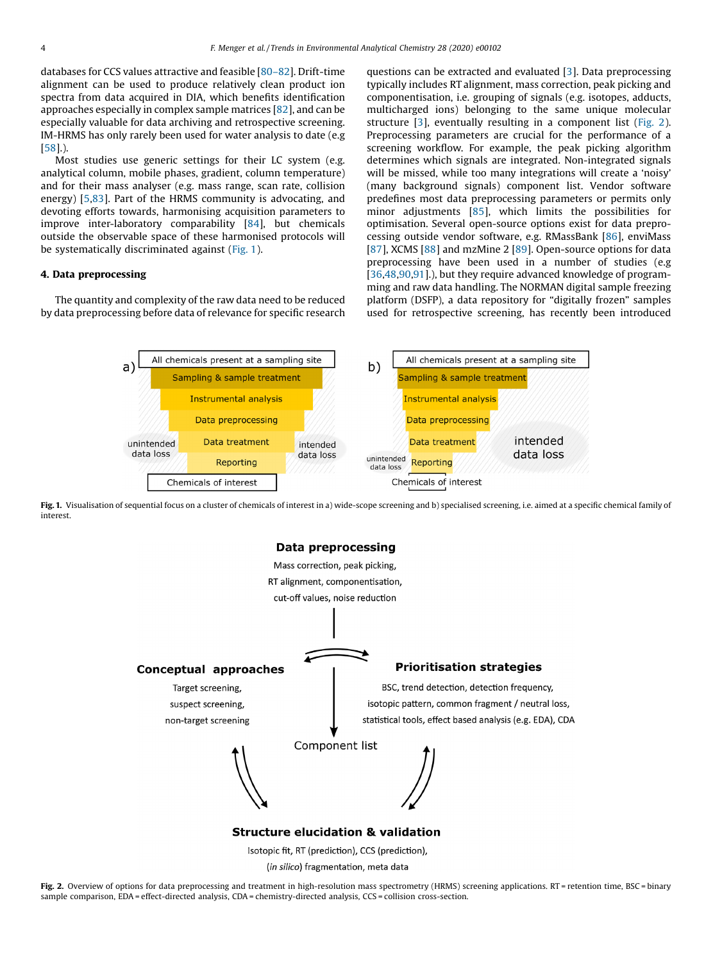<span id="page-3-0"></span>databases for CCS values attractive and feasible [\[80](#page-9-0)–82]. Drift-time alignment can be used to produce relatively clean product ion spectra from data acquired in DIA, which benefits identification approaches especially in complex sample matrices [\[82](#page-9-0)], and can be especially valuable for data archiving and retrospective screening. IM-HRMS has only rarely been used for water analysis to date (e.g [[58](#page-9-0)].).

Most studies use generic settings for their LC system (e.g. analytical column, mobile phases, gradient, column temperature) and for their mass analyser (e.g. mass range, scan rate, collision energy) [\[5](#page-7-0)[,83](#page-9-0)]. Part of the HRMS community is advocating, and devoting efforts towards, harmonising acquisition parameters to improve inter-laboratory comparability [\[84](#page-9-0)], but chemicals outside the observable space of these harmonised protocols will be systematically discriminated against (Fig. 1).

## 4. Data preprocessing

The quantity and complexity of the raw data need to be reduced by data preprocessing before data of relevance for specific research questions can be extracted and evaluated [[3](#page-7-0)]. Data preprocessing typically includes RT alignment, mass correction, peak picking and componentisation, i.e. grouping of signals (e.g. isotopes, adducts, multicharged ions) belonging to the same unique molecular structure [[3](#page-7-0)], eventually resulting in a component list (Fig. 2). Preprocessing parameters are crucial for the performance of a screening workflow. For example, the peak picking algorithm determines which signals are integrated. Non-integrated signals will be missed, while too many integrations will create a 'noisy' (many background signals) component list. Vendor software predefines most data preprocessing parameters or permits only minor adjustments [\[85\]](#page-9-0), which limits the possibilities for optimisation. Several open-source options exist for data preprocessing outside vendor software, e.g. RMassBank [[86](#page-9-0)], enviMass [[87](#page-9-0)], XCMS [\[88](#page-9-0)] and mzMine 2 [\[89](#page-9-0)]. Open-source options for data preprocessing have been used in a number of studies (e.g [[36,48](#page-8-0)[,90,91](#page-9-0)].), but they require advanced knowledge of programming and raw data handling. The NORMAN digital sample freezing platform (DSFP), a data repository for "digitally frozen" samples used for retrospective screening, has recently been introduced



Fig. 1. Visualisation of sequential focus on a cluster of chemicals of interest in a) wide-scope screening and b) specialised screening, i.e. aimed at a specific chemical family of interest.



Isotopic fit, RT (prediction), CCS (prediction),

(in silico) fragmentation, meta data

Fig. 2. Overview of options for data preprocessing and treatment in high-resolution mass spectrometry (HRMS) screening applications. RT = retention time, BSC = binary sample comparison, EDA = effect-directed analysis, CDA = chemistry-directed analysis, CCS = collision cross-section.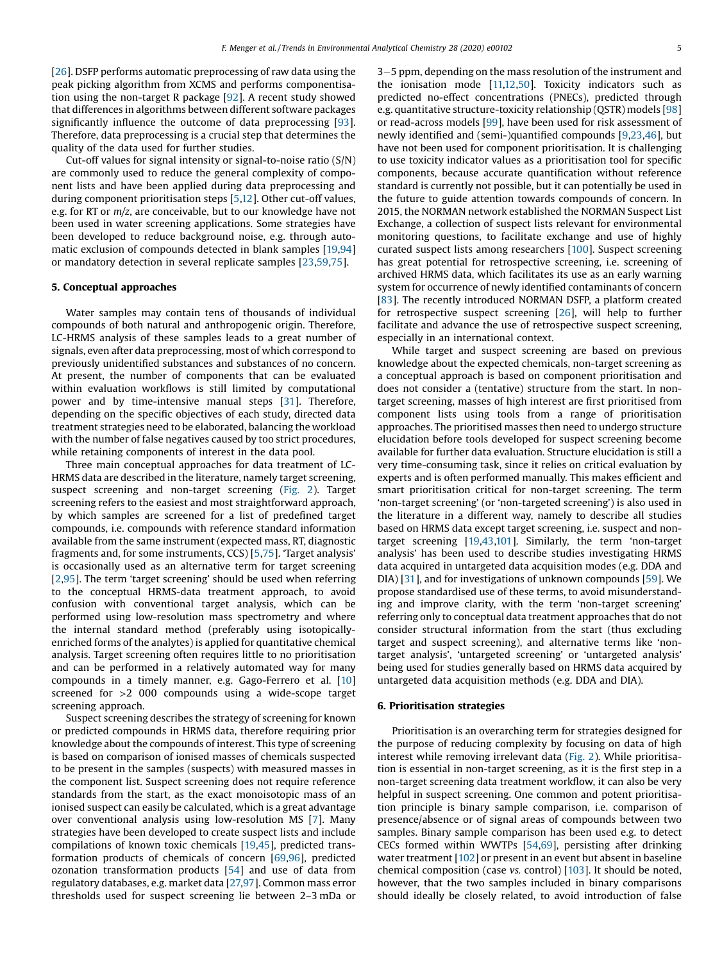[[26](#page-8-0)]. DSFP performs automatic preprocessing of raw data using the peak picking algorithm from XCMS and performs componentisation using the non-target R package [\[92](#page-9-0)]. A recent study showed that differences in algorithms between different software packages significantly influence the outcome of data preprocessing [[93](#page-9-0)]. Therefore, data preprocessing is a crucial step that determines the quality of the data used for further studies.

Cut-off values for signal intensity or signal-to-noise ratio (S/N) are commonly used to reduce the general complexity of component lists and have been applied during data preprocessing and during component prioritisation steps [[5,12\]](#page-7-0). Other cut-off values, e.g. for RT or m/z, are conceivable, but to our knowledge have not been used in water screening applications. Some strategies have been developed to reduce background noise, e.g. through automatic exclusion of compounds detected in blank samples [\[19,](#page-8-0)[94](#page-9-0)] or mandatory detection in several replicate samples [[23](#page-8-0)[,59,75](#page-9-0)].

#### 5. Conceptual approaches

Water samples may contain tens of thousands of individual compounds of both natural and anthropogenic origin. Therefore, LC-HRMS analysis of these samples leads to a great number of signals, even after data preprocessing, most of which correspond to previously unidentified substances and substances of no concern. At present, the number of components that can be evaluated within evaluation workflows is still limited by computational power and by time-intensive manual steps [\[31](#page-8-0)]. Therefore, depending on the specific objectives of each study, directed data treatment strategies need to be elaborated, balancing the workload with the number of false negatives caused by too strict procedures, while retaining components of interest in the data pool.

Three main conceptual approaches for data treatment of LC-HRMS data are described in the literature, namely target screening, suspect screening and non-target screening [\(Fig.](#page-3-0) 2). Target screening refers to the easiest and most straightforward approach, by which samples are screened for a list of predefined target compounds, i.e. compounds with reference standard information available from the same instrument (expected mass, RT, diagnostic fragments and, for some instruments, CCS) [[5,](#page-7-0)[75](#page-9-0)]. 'Target analysis' is occasionally used as an alternative term for target screening [[2](#page-7-0)[,95](#page-9-0)]. The term 'target screening' should be used when referring to the conceptual HRMS-data treatment approach, to avoid confusion with conventional target analysis, which can be performed using low-resolution mass spectrometry and where the internal standard method (preferably using isotopicallyenriched forms of the analytes) is applied for quantitative chemical analysis. Target screening often requires little to no prioritisation and can be performed in a relatively automated way for many compounds in a timely manner, e.g. Gago-Ferrero et al. [\[10](#page-7-0)] screened for >2 000 compounds using a wide-scope target screening approach.

Suspect screening describes the strategy of screening for known or predicted compounds in HRMS data, therefore requiring prior knowledge about the compounds of interest. This type of screening is based on comparison of ionised masses of chemicals suspected to be present in the samples (suspects) with measured masses in the component list. Suspect screening does not require reference standards from the start, as the exact monoisotopic mass of an ionised suspect can easily be calculated, which is a great advantage over conventional analysis using low-resolution MS [[7\]](#page-7-0). Many strategies have been developed to create suspect lists and include compilations of known toxic chemicals [[19,45\]](#page-8-0), predicted transformation products of chemicals of concern [\[69,96](#page-9-0)], predicted ozonation transformation products [\[54](#page-8-0)] and use of data from regulatory databases, e.g. market data [[27,](#page-8-0)[97](#page-10-0)]. Common mass error thresholds used for suspect screening lie between 2–3 mDa or

3–5 ppm, depending on the mass resolution of the instrument and the ionisation mode [[11,12](#page-7-0),[50](#page-8-0)]. Toxicity indicators such as predicted no-effect concentrations (PNECs), predicted through e.g. quantitative structure-toxicity relationship (QSTR) models [[98](#page-10-0)] or read-across models [\[99](#page-10-0)], have been used for risk assessment of newly identified and (semi-)quantified compounds [\[9](#page-7-0)[,23,46](#page-8-0)], but have not been used for component prioritisation. It is challenging to use toxicity indicator values as a prioritisation tool for specific components, because accurate quantification without reference standard is currently not possible, but it can potentially be used in the future to guide attention towards compounds of concern. In 2015, the NORMAN network established the NORMAN Suspect List Exchange, a collection of suspect lists relevant for environmental monitoring questions, to facilitate exchange and use of highly curated suspect lists among researchers [[100\]](#page-10-0). Suspect screening has great potential for retrospective screening, i.e. screening of archived HRMS data, which facilitates its use as an early warning system for occurrence of newly identified contaminants of concern [\[83](#page-9-0)]. The recently introduced NORMAN DSFP, a platform created for retrospective suspect screening [\[26](#page-8-0)], will help to further facilitate and advance the use of retrospective suspect screening, especially in an international context.

While target and suspect screening are based on previous knowledge about the expected chemicals, non-target screening as a conceptual approach is based on component prioritisation and does not consider a (tentative) structure from the start. In nontarget screening, masses of high interest are first prioritised from component lists using tools from a range of prioritisation approaches. The prioritised masses then need to undergo structure elucidation before tools developed for suspect screening become available for further data evaluation. Structure elucidation is still a very time-consuming task, since it relies on critical evaluation by experts and is often performed manually. This makes efficient and smart prioritisation critical for non-target screening. The term 'non-target screening' (or 'non-targeted screening') is also used in the literature in a different way, namely to describe all studies based on HRMS data except target screening, i.e. suspect and nontarget screening [[19,43](#page-8-0),[101\]](#page-10-0). Similarly, the term 'non-target analysis' has been used to describe studies investigating HRMS data acquired in untargeted data acquisition modes (e.g. DDA and DIA) [[31](#page-8-0)], and for investigations of unknown compounds [[59\]](#page-9-0). We propose standardised use of these terms, to avoid misunderstanding and improve clarity, with the term 'non-target screening' referring only to conceptual data treatment approaches that do not consider structural information from the start (thus excluding target and suspect screening), and alternative terms like 'nontarget analysis', 'untargeted screening' or 'untargeted analysis' being used for studies generally based on HRMS data acquired by untargeted data acquisition methods (e.g. DDA and DIA).

## 6. Prioritisation strategies

Prioritisation is an overarching term for strategies designed for the purpose of reducing complexity by focusing on data of high interest while removing irrelevant data ([Fig.](#page-3-0) 2). While prioritisation is essential in non-target screening, as it is the first step in a non-target screening data treatment workflow, it can also be very helpful in suspect screening. One common and potent prioritisation principle is binary sample comparison, i.e. comparison of presence/absence or of signal areas of compounds between two samples. Binary sample comparison has been used e.g. to detect CECs formed within WWTPs [[54](#page-8-0)[,69](#page-9-0)], persisting after drinking water treatment [\[102](#page-10-0)] or present in an event but absent in baseline chemical composition (case vs. control) [[103](#page-10-0)]. It should be noted, however, that the two samples included in binary comparisons should ideally be closely related, to avoid introduction of false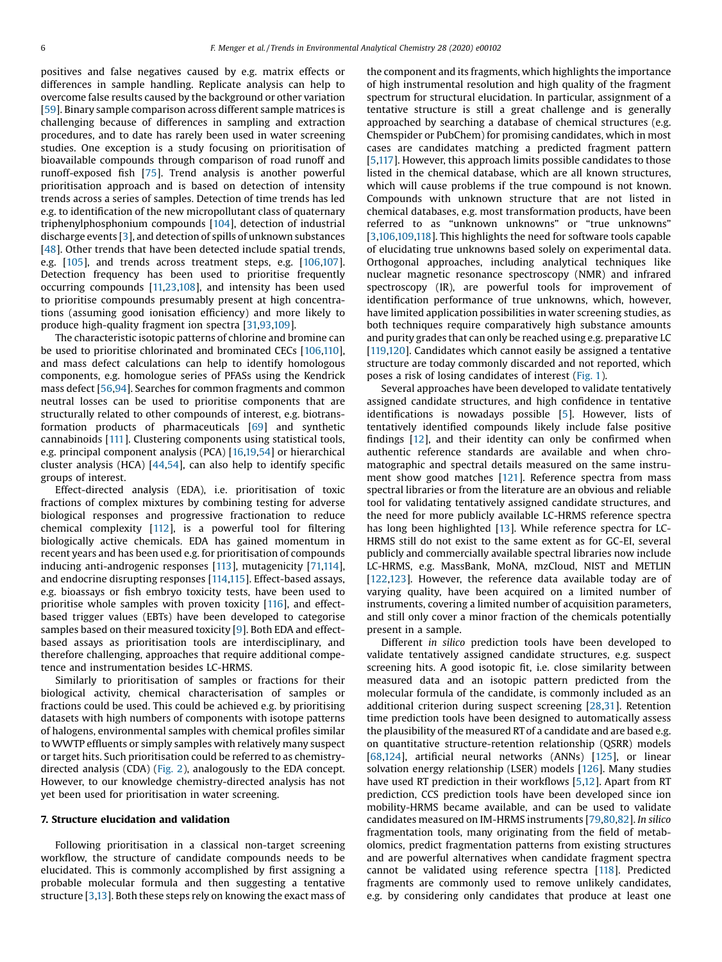positives and false negatives caused by e.g. matrix effects or differences in sample handling. Replicate analysis can help to overcome false results caused by the background or other variation [[59](#page-9-0)]. Binary sample comparison across different sample matrices is challenging because of differences in sampling and extraction procedures, and to date has rarely been used in water screening studies. One exception is a study focusing on prioritisation of bioavailable compounds through comparison of road runoff and runoff-exposed fish [[75](#page-9-0)]. Trend analysis is another powerful prioritisation approach and is based on detection of intensity trends across a series of samples. Detection of time trends has led e.g. to identification of the new micropollutant class of quaternary triphenylphosphonium compounds [[104](#page-10-0)], detection of industrial discharge events [\[3](#page-7-0)], and detection of spills of unknown substances [[48](#page-8-0)]. Other trends that have been detected include spatial trends, e.g. [[105](#page-10-0)], and trends across treatment steps, e.g. [\[106,107\]](#page-10-0). Detection frequency has been used to prioritise frequently occurring compounds [\[11,](#page-7-0)[23](#page-8-0)[,108](#page-10-0)], and intensity has been used to prioritise compounds presumably present at high concentrations (assuming good ionisation efficiency) and more likely to produce high-quality fragment ion spectra [[31,](#page-8-0)[93](#page-9-0)[,109](#page-10-0)].

The characteristic isotopic patterns of chlorine and bromine can be used to prioritise chlorinated and brominated CECs [\[106,110\]](#page-10-0), and mass defect calculations can help to identify homologous components, e.g. homologue series of PFASs using the Kendrick mass defect [\[56,](#page-8-0)[94](#page-9-0)]. Searches for common fragments and common neutral losses can be used to prioritise components that are structurally related to other compounds of interest, e.g. biotransformation products of pharmaceuticals [[69](#page-9-0)] and synthetic cannabinoids [\[111\]](#page-10-0). Clustering components using statistical tools, e.g. principal component analysis (PCA) [[16](#page-7-0),[19](#page-8-0),[54](#page-8-0)] or hierarchical cluster analysis (HCA) [\[44,54\]](#page-8-0), can also help to identify specific groups of interest.

Effect-directed analysis (EDA), i.e. prioritisation of toxic fractions of complex mixtures by combining testing for adverse biological responses and progressive fractionation to reduce chemical complexity [[112\]](#page-10-0), is a powerful tool for filtering biologically active chemicals. EDA has gained momentum in recent years and has been used e.g. for prioritisation of compounds inducing anti-androgenic responses [\[113](#page-10-0)], mutagenicity [\[71,](#page-9-0)[114\]](#page-10-0), and endocrine disrupting responses [[114,115](#page-10-0)]. Effect-based assays, e.g. bioassays or fish embryo toxicity tests, have been used to prioritise whole samples with proven toxicity [[116\]](#page-10-0), and effectbased trigger values (EBTs) have been developed to categorise samples based on their measured toxicity [\[9](#page-7-0)]. Both EDA and effectbased assays as prioritisation tools are interdisciplinary, and therefore challenging, approaches that require additional competence and instrumentation besides LC-HRMS.

Similarly to prioritisation of samples or fractions for their biological activity, chemical characterisation of samples or fractions could be used. This could be achieved e.g. by prioritising datasets with high numbers of components with isotope patterns of halogens, environmental samples with chemical profiles similar to WWTP effluents or simply samples with relatively many suspect or target hits. Such prioritisation could be referred to as chemistrydirected analysis (CDA) ([Fig.](#page-3-0) 2), analogously to the EDA concept. However, to our knowledge chemistry-directed analysis has not yet been used for prioritisation in water screening.

#### 7. Structure elucidation and validation

Following prioritisation in a classical non-target screening workflow, the structure of candidate compounds needs to be elucidated. This is commonly accomplished by first assigning a probable molecular formula and then suggesting a tentative structure [\[3,13\]](#page-7-0). Both these steps rely on knowing the exact mass of the component and its fragments, which highlights the importance of high instrumental resolution and high quality of the fragment spectrum for structural elucidation. In particular, assignment of a tentative structure is still a great challenge and is generally approached by searching a database of chemical structures (e.g. Chemspider or PubChem) for promising candidates, which in most cases are candidates matching a predicted fragment pattern [[5,](#page-7-0)[117](#page-10-0)]. However, this approach limits possible candidates to those listed in the chemical database, which are all known structures, which will cause problems if the true compound is not known. Compounds with unknown structure that are not listed in chemical databases, e.g. most transformation products, have been referred to as "unknown unknowns" or "true unknowns" [[3,](#page-7-0)[106,109](#page-10-0),[118](#page-10-0)]. This highlights the need for software tools capable of elucidating true unknowns based solely on experimental data. Orthogonal approaches, including analytical techniques like nuclear magnetic resonance spectroscopy (NMR) and infrared spectroscopy (IR), are powerful tools for improvement of identification performance of true unknowns, which, however, have limited application possibilities in water screening studies, as both techniques require comparatively high substance amounts and purity grades that can only be reached using e.g. preparative LC [[119,120](#page-10-0)]. Candidates which cannot easily be assigned a tentative structure are today commonly discarded and not reported, which poses a risk of losing candidates of interest ([Fig.](#page-3-0) 1).

Several approaches have been developed to validate tentatively assigned candidate structures, and high confidence in tentative identifications is nowadays possible [\[5](#page-7-0)]. However, lists of tentatively identified compounds likely include false positive findings [[12](#page-7-0)], and their identity can only be confirmed when authentic reference standards are available and when chromatographic and spectral details measured on the same instru-ment show good matches [\[121](#page-10-0)]. Reference spectra from mass spectral libraries or from the literature are an obvious and reliable tool for validating tentatively assigned candidate structures, and the need for more publicly available LC-HRMS reference spectra has long been highlighted [[13](#page-7-0)]. While reference spectra for LC-HRMS still do not exist to the same extent as for GC-EI, several publicly and commercially available spectral libraries now include LC-HRMS, e.g. MassBank, MoNA, mzCloud, NIST and METLIN [[122,123](#page-10-0)]. However, the reference data available today are of varying quality, have been acquired on a limited number of instruments, covering a limited number of acquisition parameters, and still only cover a minor fraction of the chemicals potentially present in a sample.

Different in silico prediction tools have been developed to validate tentatively assigned candidate structures, e.g. suspect screening hits. A good isotopic fit, i.e. close similarity between measured data and an isotopic pattern predicted from the molecular formula of the candidate, is commonly included as an additional criterion during suspect screening [[28](#page-8-0),[31](#page-8-0)]. Retention time prediction tools have been designed to automatically assess the plausibility of the measured RTof a candidate and are based e.g. on quantitative structure-retention relationship (QSRR) models [[68](#page-9-0),[124](#page-10-0)], artificial neural networks (ANNs) [\[125](#page-10-0)], or linear solvation energy relationship (LSER) models [[126](#page-10-0)]. Many studies have used RT prediction in their workflows [\[5,12](#page-7-0)]. Apart from RT prediction, CCS prediction tools have been developed since ion mobility-HRMS became available, and can be used to validate candidates measured on IM-HRMS instruments [\[79](#page-9-0),[80,82](#page-9-0)]. In silico fragmentation tools, many originating from the field of metabolomics, predict fragmentation patterns from existing structures and are powerful alternatives when candidate fragment spectra cannot be validated using reference spectra [[118](#page-10-0)]. Predicted fragments are commonly used to remove unlikely candidates, e.g. by considering only candidates that produce at least one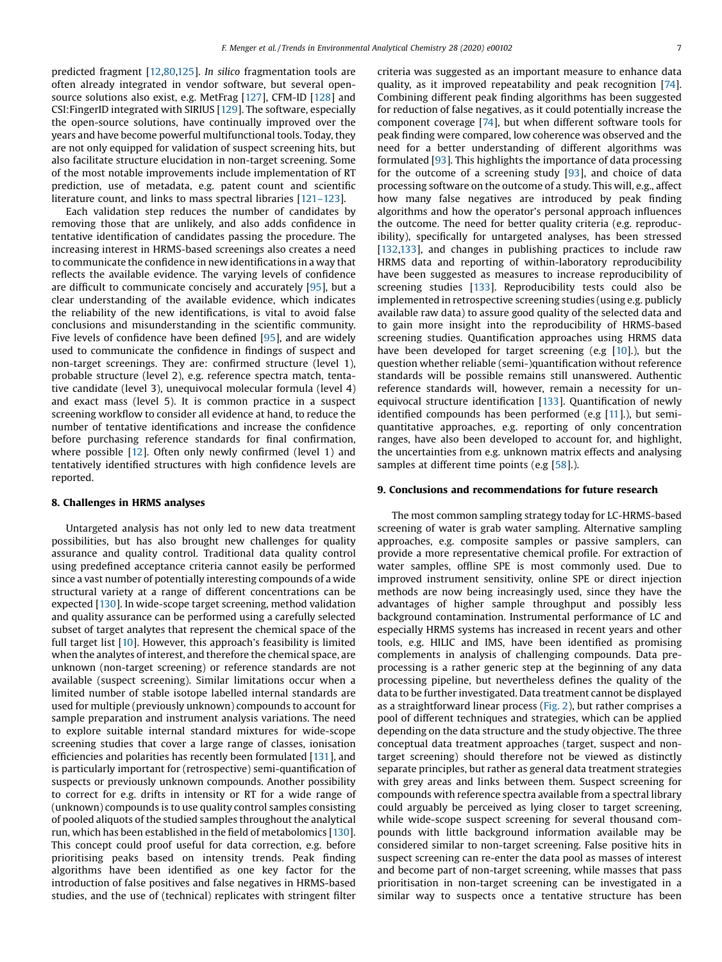predicted fragment [[12](#page-7-0)[,80,](#page-9-0)[125](#page-10-0)]. In silico fragmentation tools are often already integrated in vendor software, but several opensource solutions also exist, e.g. MetFrag [\[127](#page-10-0)], CFM-ID [\[128](#page-10-0)] and CSI:FingerID integrated with SIRIUS [\[129](#page-10-0)]. The software, especially the open-source solutions, have continually improved over the years and have become powerful multifunctional tools. Today, they are not only equipped for validation of suspect screening hits, but also facilitate structure elucidation in non-target screening. Some of the most notable improvements include implementation of RT prediction, use of metadata, e.g. patent count and scientific literature count, and links to mass spectral libraries [121–[123\]](#page-10-0).

Each validation step reduces the number of candidates by removing those that are unlikely, and also adds confidence in tentative identification of candidates passing the procedure. The increasing interest in HRMS-based screenings also creates a need to communicate the confidence in new identifications in a way that reflects the available evidence. The varying levels of confidence are difficult to communicate concisely and accurately [[95](#page-9-0)], but a clear understanding of the available evidence, which indicates the reliability of the new identifications, is vital to avoid false conclusions and misunderstanding in the scientific community. Five levels of confidence have been defined [[95](#page-9-0)], and are widely used to communicate the confidence in findings of suspect and non-target screenings. They are: confirmed structure (level 1), probable structure (level 2), e.g. reference spectra match, tentative candidate (level 3), unequivocal molecular formula (level 4) and exact mass (level 5). It is common practice in a suspect screening workflow to consider all evidence at hand, to reduce the number of tentative identifications and increase the confidence before purchasing reference standards for final confirmation, where possible [[12](#page-7-0)]. Often only newly confirmed (level 1) and tentatively identified structures with high confidence levels are reported.

## 8. Challenges in HRMS analyses

Untargeted analysis has not only led to new data treatment possibilities, but has also brought new challenges for quality assurance and quality control. Traditional data quality control using predefined acceptance criteria cannot easily be performed since a vast number of potentially interesting compounds of a wide structural variety at a range of different concentrations can be expected [[130](#page-10-0)]. In wide-scope target screening, method validation and quality assurance can be performed using a carefully selected subset of target analytes that represent the chemical space of the full target list [[10](#page-7-0)]. However, this approach's feasibility is limited when the analytes of interest, and therefore the chemical space, are unknown (non-target screening) or reference standards are not available (suspect screening). Similar limitations occur when a limited number of stable isotope labelled internal standards are used for multiple (previously unknown) compounds to account for sample preparation and instrument analysis variations. The need to explore suitable internal standard mixtures for wide-scope screening studies that cover a large range of classes, ionisation efficiencies and polarities has recently been formulated [\[131](#page-10-0)], and is particularly important for (retrospective) semi-quantification of suspects or previously unknown compounds. Another possibility to correct for e.g. drifts in intensity or RT for a wide range of (unknown) compounds is to use quality control samples consisting of pooled aliquots of the studied samples throughout the analytical run, which has been established in the field of metabolomics [[130](#page-10-0)]. This concept could proof useful for data correction, e.g. before prioritising peaks based on intensity trends. Peak finding algorithms have been identified as one key factor for the introduction of false positives and false negatives in HRMS-based studies, and the use of (technical) replicates with stringent filter

criteria was suggested as an important measure to enhance data quality, as it improved repeatability and peak recognition [\[74](#page-9-0)]. Combining different peak finding algorithms has been suggested for reduction of false negatives, as it could potentially increase the component coverage [\[74](#page-9-0)], but when different software tools for peak finding were compared, low coherence was observed and the need for a better understanding of different algorithms was formulated [\[93\]](#page-9-0). This highlights the importance of data processing for the outcome of a screening study [\[93\]](#page-9-0), and choice of data processing software on the outcome of a study. This will, e.g., affect how many false negatives are introduced by peak finding algorithms and how the operator's personal approach influences the outcome. The need for better quality criteria (e.g. reproducibility), specifically for untargeted analyses, has been stressed [\[132](#page-10-0),[133](#page-10-0)], and changes in publishing practices to include raw HRMS data and reporting of within-laboratory reproducibility have been suggested as measures to increase reproducibility of screening studies [[133\]](#page-10-0). Reproducibility tests could also be implemented in retrospective screening studies (using e.g. publicly available raw data) to assure good quality of the selected data and to gain more insight into the reproducibility of HRMS-based screening studies. Quantification approaches using HRMS data have been developed for target screening (e.g [\[10](#page-7-0)].), but the question whether reliable (semi-)quantification without reference standards will be possible remains still unanswered. Authentic reference standards will, however, remain a necessity for unequivocal structure identification [[133](#page-10-0)]. Quantification of newly identified compounds has been performed (e.g [\[11](#page-7-0)].), but semiquantitative approaches, e.g. reporting of only concentration ranges, have also been developed to account for, and highlight, the uncertainties from e.g. unknown matrix effects and analysing samples at different time points (e.g [\[58](#page-9-0)].).

## 9. Conclusions and recommendations for future research

The most common sampling strategy today for LC-HRMS-based screening of water is grab water sampling. Alternative sampling approaches, e.g. composite samples or passive samplers, can provide a more representative chemical profile. For extraction of water samples, offline SPE is most commonly used. Due to improved instrument sensitivity, online SPE or direct injection methods are now being increasingly used, since they have the advantages of higher sample throughput and possibly less background contamination. Instrumental performance of LC and especially HRMS systems has increased in recent years and other tools, e.g. HILIC and IMS, have been identified as promising complements in analysis of challenging compounds. Data preprocessing is a rather generic step at the beginning of any data processing pipeline, but nevertheless defines the quality of the data to be further investigated. Data treatment cannot be displayed as a straightforward linear process ([Fig.](#page-3-0) 2), but rather comprises a pool of different techniques and strategies, which can be applied depending on the data structure and the study objective. The three conceptual data treatment approaches (target, suspect and nontarget screening) should therefore not be viewed as distinctly separate principles, but rather as general data treatment strategies with grey areas and links between them. Suspect screening for compounds with reference spectra available from a spectral library could arguably be perceived as lying closer to target screening, while wide-scope suspect screening for several thousand compounds with little background information available may be considered similar to non-target screening. False positive hits in suspect screening can re-enter the data pool as masses of interest and become part of non-target screening, while masses that pass prioritisation in non-target screening can be investigated in a similar way to suspects once a tentative structure has been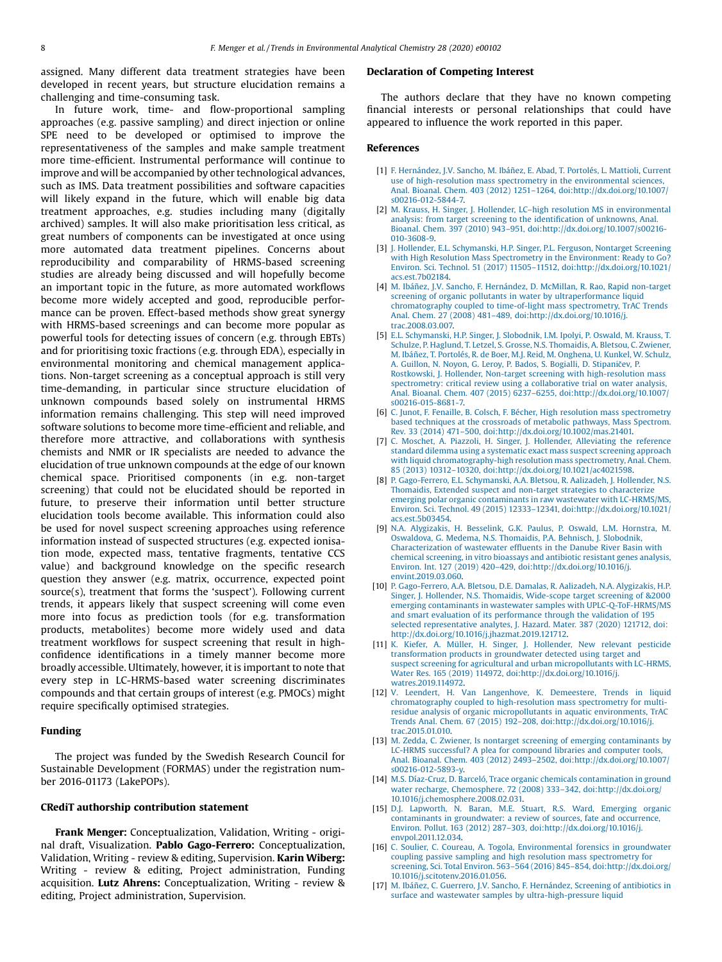<span id="page-7-0"></span>assigned. Many different data treatment strategies have been developed in recent years, but structure elucidation remains a challenging and time-consuming task.

In future work, time- and flow-proportional sampling approaches (e.g. passive sampling) and direct injection or online SPE need to be developed or optimised to improve the representativeness of the samples and make sample treatment more time-efficient. Instrumental performance will continue to improve and will be accompanied by other technological advances, such as IMS. Data treatment possibilities and software capacities will likely expand in the future, which will enable big data treatment approaches, e.g. studies including many (digitally archived) samples. It will also make prioritisation less critical, as great numbers of components can be investigated at once using more automated data treatment pipelines. Concerns about reproducibility and comparability of HRMS-based screening studies are already being discussed and will hopefully become an important topic in the future, as more automated workflows become more widely accepted and good, reproducible performance can be proven. Effect-based methods show great synergy with HRMS-based screenings and can become more popular as powerful tools for detecting issues of concern (e.g. through EBTs) and for prioritising toxic fractions (e.g. through EDA), especially in environmental monitoring and chemical management applications. Non-target screening as a conceptual approach is still very time-demanding, in particular since structure elucidation of unknown compounds based solely on instrumental HRMS information remains challenging. This step will need improved software solutions to become more time-efficient and reliable, and therefore more attractive, and collaborations with synthesis chemists and NMR or IR specialists are needed to advance the elucidation of true unknown compounds at the edge of our known chemical space. Prioritised components (in e.g. non-target screening) that could not be elucidated should be reported in future, to preserve their information until better structure elucidation tools become available. This information could also be used for novel suspect screening approaches using reference information instead of suspected structures (e.g. expected ionisation mode, expected mass, tentative fragments, tentative CCS value) and background knowledge on the specific research question they answer (e.g. matrix, occurrence, expected point source(s), treatment that forms the 'suspect'). Following current trends, it appears likely that suspect screening will come even more into focus as prediction tools (for e.g. transformation products, metabolites) become more widely used and data treatment workflows for suspect screening that result in highconfidence identifications in a timely manner become more broadly accessible. Ultimately, however, it is important to note that every step in LC-HRMS-based water screening discriminates compounds and that certain groups of interest (e.g. PMOCs) might require specifically optimised strategies.

## Funding

The project was funded by the Swedish Research Council for Sustainable Development (FORMAS) under the registration number 2016-01173 (LakePOPs).

## CRediT authorship contribution statement

Frank Menger: Conceptualization, Validation, Writing - original draft, Visualization. Pablo Gago-Ferrero: Conceptualization, Validation, Writing - review & editing, Supervision. Karin Wiberg: Writing - review & editing, Project administration, Funding acquisition. Lutz Ahrens: Conceptualization, Writing - review & editing, Project administration, Supervision.

#### Declaration of Competing Interest

The authors declare that they have no known competing financial interests or personal relationships that could have appeared to influence the work reported in this paper.

## References

- [1] F. [Hernández,](http://refhub.elsevier.com/S2214-1588(20)30030-1/sbref0005) J.V. Sancho, M. Ibáñez, E. Abad, T. Portolés, L. Mattioli, Current use of [high-resolution](http://refhub.elsevier.com/S2214-1588(20)30030-1/sbref0005) mass spectrometry in the environmental sciences, Anal. Bioanal. Chem. 403 (2012) 1251–1264, [doi:http://dx.doi.org/10.1007/](http://refhub.elsevier.com/S2214-1588(20)30030-1/sbref0005) [s00216-012-5844-7.](http://dx.doi.org/10.1007/s00216-012-5844-7)
- [2] M. Krauss, H. Singer, J. Hollender, LC–high resolution MS in [environmental](http://refhub.elsevier.com/S2214-1588(20)30030-1/sbref0010) analysis: from target screening to the identification of [unknowns,](http://refhub.elsevier.com/S2214-1588(20)30030-1/sbref0010) Anal. Bioanal. Chem. 397 (2010) 943–951, [doi:http://dx.doi.org/10.1007/s00216-](http://refhub.elsevier.com/S2214-1588(20)30030-1/sbref0010) [010-3608-9.](http://dx.doi.org/10.1007/s00216-010-3608-9)
- [3] J. Hollender, E.L. [Schymanski,](http://refhub.elsevier.com/S2214-1588(20)30030-1/sbref0015) H.P. Singer, P.L. Ferguson, Nontarget Screening with High Resolution Mass Spectrometry in the [Environment:](http://refhub.elsevier.com/S2214-1588(20)30030-1/sbref0015) Ready to Go? Environ. Sci. Technol. 51 (2017) 11505–11512, [doi:http://dx.doi.org/10.1021/](http://refhub.elsevier.com/S2214-1588(20)30030-1/sbref0015) [acs.est.7b02184.](http://dx.doi.org/10.1021/acs.est.7b02184)
- [4] M. Ibáñez, J.V. Sancho, F. [Hernández,](http://refhub.elsevier.com/S2214-1588(20)30030-1/sbref0020) D. McMillan, R. Rao, Rapid non-target screening of organic pollutants in water by [ultraperformance](http://refhub.elsevier.com/S2214-1588(20)30030-1/sbref0020) liquid [chromatography](http://refhub.elsevier.com/S2214-1588(20)30030-1/sbref0020) coupled to time-of-light mass spectrometry, TrAC Trends Anal. Chem. 27 (2008) 481–489, [doi:http://dx.doi.org/10.1016/j.](http://refhub.elsevier.com/S2214-1588(20)30030-1/sbref0020) [trac.2008.03.007.](http://dx.doi.org/10.1016/j.trac.2008.03.007)
- [5] E.L. [Schymanski,](http://refhub.elsevier.com/S2214-1588(20)30030-1/sbref0025) H.P. Singer, J. Slobodnik, I.M. Ipolyi, P. Oswald, M. Krauss, T. Schulze, P. Haglund, T. Letzel, S. Grosse, N.S. [Thomaidis,](http://refhub.elsevier.com/S2214-1588(20)30030-1/sbref0025) A. Bletsou, C. Zwiener, M. Ibáñez, T. Portolés, R. de Boer, M.J. Reid, M. [Onghena,](http://refhub.elsevier.com/S2214-1588(20)30030-1/sbref0025) U. Kunkel, W. Schulz, A. Guillon, N. Noyon, G. Leroy, P. Bados, S. Bogialli, D. Stipaničev, P. Rostkowski, J. Hollender, Non-target screening with [high-resolution](http://refhub.elsevier.com/S2214-1588(20)30030-1/sbref0025) mass [spectrometry:](http://refhub.elsevier.com/S2214-1588(20)30030-1/sbref0025) critical review using a collaborative trial on water analysis, Anal. Bioanal. Chem. 407 (2015) 6237–6255, [doi:http://dx.doi.org/10.1007/](http://refhub.elsevier.com/S2214-1588(20)30030-1/sbref0025) [s00216-015-8681-7.](http://dx.doi.org/10.1007/s00216-015-8681-7)
- [6] C. Junot, F. Fenaille, B. Colsch, F. Bécher, High resolution mass [spectrometry](http://refhub.elsevier.com/S2214-1588(20)30030-1/sbref0030) based [techniques](http://refhub.elsevier.com/S2214-1588(20)30030-1/sbref0030) at the crossroads of metabolic pathways, Mass Spectrom. Rev. 33 (2014) 471–500, [doi:http://dx.doi.org/10.1002/mas.21401.](http://refhub.elsevier.com/S2214-1588(20)30030-1/sbref0030)
- [7] C. Moschet, A. Piazzoli, H. Singer, J. Hollender, [Alleviating](http://refhub.elsevier.com/S2214-1588(20)30030-1/sbref0035) the reference standard dilemma using a [systematic](http://refhub.elsevier.com/S2214-1588(20)30030-1/sbref0035) exact mass suspect screening approach with liquid [chromatography-high](http://refhub.elsevier.com/S2214-1588(20)30030-1/sbref0035) resolution mass spectrometry, Anal. Chem. 85 (2013) 10312–10320, [doi:http://dx.doi.org/10.1021/ac4021598.](http://refhub.elsevier.com/S2214-1588(20)30030-1/sbref0035)
- [8] P. [Gago-Ferrero,](http://refhub.elsevier.com/S2214-1588(20)30030-1/sbref0040) E.L. Schymanski, A.A. Bletsou, R. Aalizadeh, J. Hollender, N.S. Thomaidis, Extended suspect and non-target strategies to [characterize](http://refhub.elsevier.com/S2214-1588(20)30030-1/sbref0040) emerging polar organic contaminants in raw wastewater with [LC-HRMS/MS,](http://refhub.elsevier.com/S2214-1588(20)30030-1/sbref0040) Environ. Sci. Technol. 49 (2015) 12333–12341, [doi:http://dx.doi.org/10.1021/](http://refhub.elsevier.com/S2214-1588(20)30030-1/sbref0040) [acs.est.5b03454.](http://dx.doi.org/10.1021/acs.est.5b03454)
- [9] N.A. [Alygizakis,](http://refhub.elsevier.com/S2214-1588(20)30030-1/sbref0045) H. Besselink, G.K. Paulus, P. Oswald, L.M. Hornstra, M. [Oswaldova,](http://refhub.elsevier.com/S2214-1588(20)30030-1/sbref0045) G. Medema, N.S. Thomaidis, P.A. Behnisch, J. Slobodnik, [Characterization](http://refhub.elsevier.com/S2214-1588(20)30030-1/sbref0045) of wastewater effluents in the Danube River Basin with chemical [screening,](http://refhub.elsevier.com/S2214-1588(20)30030-1/sbref0045) in vitro bioassays and antibiotic resistant genes analysis, Environ. Int. 127 (2019) 420–429, [doi:http://dx.doi.org/10.1016/j.](http://refhub.elsevier.com/S2214-1588(20)30030-1/sbref0045) [envint.2019.03.060.](http://dx.doi.org/10.1016/j.envint.2019.03.060)
- [10] P. [Gago-Ferrero,](http://refhub.elsevier.com/S2214-1588(20)30030-1/sbref0050) A.A. Bletsou, D.E. Damalas, R. Aalizadeh, N.A. Alygizakis, H.P. Singer, J. Hollender, N.S. Thomaidis, [Wide-scope](http://refhub.elsevier.com/S2214-1588(20)30030-1/sbref0050) target screening of &2000 emerging contaminants in wastewater samples with [UPLC-Q-ToF-HRMS/MS](http://refhub.elsevier.com/S2214-1588(20)30030-1/sbref0050) and smart evaluation of its [performance](http://refhub.elsevier.com/S2214-1588(20)30030-1/sbref0050) through the validation of 195 selected [representative](http://refhub.elsevier.com/S2214-1588(20)30030-1/sbref0050) analytes, J. Hazard. Mater. 387 (2020) 121712, doi: [http://dx.doi.org/10.1016/j.jhazmat.2019.121712.](http://dx.doi.org/10.1016/j.jhazmat.2019.121712)
- [11] K. Kiefer, A. Müller, H. Singer, J. [Hollender,](http://refhub.elsevier.com/S2214-1588(20)30030-1/sbref0055) New relevant pesticide [transformation](http://refhub.elsevier.com/S2214-1588(20)30030-1/sbref0055) products in groundwater detected using target and suspect screening for agricultural and urban [micropollutants](http://refhub.elsevier.com/S2214-1588(20)30030-1/sbref0055) with LC-HRMS, Water Res. 165 (2019) 114972, [doi:http://dx.doi.org/10.1016/j.](http://refhub.elsevier.com/S2214-1588(20)30030-1/sbref0055) [watres.2019.114972.](http://dx.doi.org/10.1016/j.watres.2019.114972)
- [12] V. Leendert, H. Van [Langenhove,](http://refhub.elsevier.com/S2214-1588(20)30030-1/sbref0060) K. Demeestere, Trends in liquid [chromatography](http://refhub.elsevier.com/S2214-1588(20)30030-1/sbref0060) coupled to high-resolution mass spectrometry for multiresidue analysis of organic [micropollutants](http://refhub.elsevier.com/S2214-1588(20)30030-1/sbref0060) in aquatic environments, TrAC Trends Anal. Chem. 67 (2015) 192–208, [doi:http://dx.doi.org/10.1016/j.](http://refhub.elsevier.com/S2214-1588(20)30030-1/sbref0060) [trac.2015.01.010.](http://dx.doi.org/10.1016/j.trac.2015.01.010)
- [13] M. Zedda, C. Zwiener, Is nontarget screening of emerging [contaminants](http://refhub.elsevier.com/S2214-1588(20)30030-1/sbref0065) by LC-HRMS [successful?](http://refhub.elsevier.com/S2214-1588(20)30030-1/sbref0065) A plea for compound libraries and computer tools, Anal. Bioanal. Chem. 403 (2012) 2493–2502, [doi:http://dx.doi.org/10.1007/](http://refhub.elsevier.com/S2214-1588(20)30030-1/sbref0065) [s00216-012-5893-y.](http://dx.doi.org/10.1007/s00216-012-5893-y)
- [14] M.S. Díaz-Cruz, D. Barceló, Trace organic chemicals [contamination](http://refhub.elsevier.com/S2214-1588(20)30030-1/sbref0070) in ground water recharge, Chemosphere. 72 (2008) 333–342, [doi:http://dx.doi.org/](http://refhub.elsevier.com/S2214-1588(20)30030-1/sbref0070) [10.1016/j.chemosphere.2008.02.031.](http://dx.doi.org/10.1016/j.chemosphere.2008.02.031)
- [15] D.J. [Lapworth,](http://refhub.elsevier.com/S2214-1588(20)30030-1/sbref0075) N. Baran, M.E. Stuart, R.S. Ward, Emerging organic contaminants in [groundwater:](http://refhub.elsevier.com/S2214-1588(20)30030-1/sbref0075) a review of sources, fate and occurrence, Environ. Pollut. 163 (2012) 287–303, [doi:http://dx.doi.org/10.1016/j.](http://refhub.elsevier.com/S2214-1588(20)30030-1/sbref0075) [envpol.2011.12.034.](http://dx.doi.org/10.1016/j.envpol.2011.12.034)
- [16] C. Soulier, C. Coureau, A. Togola, [Environmental](http://refhub.elsevier.com/S2214-1588(20)30030-1/sbref0080) forensics in groundwater coupling passive sampling and high resolution mass [spectrometry](http://refhub.elsevier.com/S2214-1588(20)30030-1/sbref0080) for screening, Sci. Total Environ. 563–564 (2016) 845–854, [doi:http://dx.doi.org/](http://refhub.elsevier.com/S2214-1588(20)30030-1/sbref0080) [10.1016/j.scitotenv.2016.01.056.](http://dx.doi.org/10.1016/j.scitotenv.2016.01.056)
- [17] M. Ibáñez, C. Guerrero, J.V. Sancho, F. [Hernández,](http://refhub.elsevier.com/S2214-1588(20)30030-1/sbref0085) Screening of antibiotics in surface and wastewater samples by [ultra-high-pressure](http://refhub.elsevier.com/S2214-1588(20)30030-1/sbref0085) liquid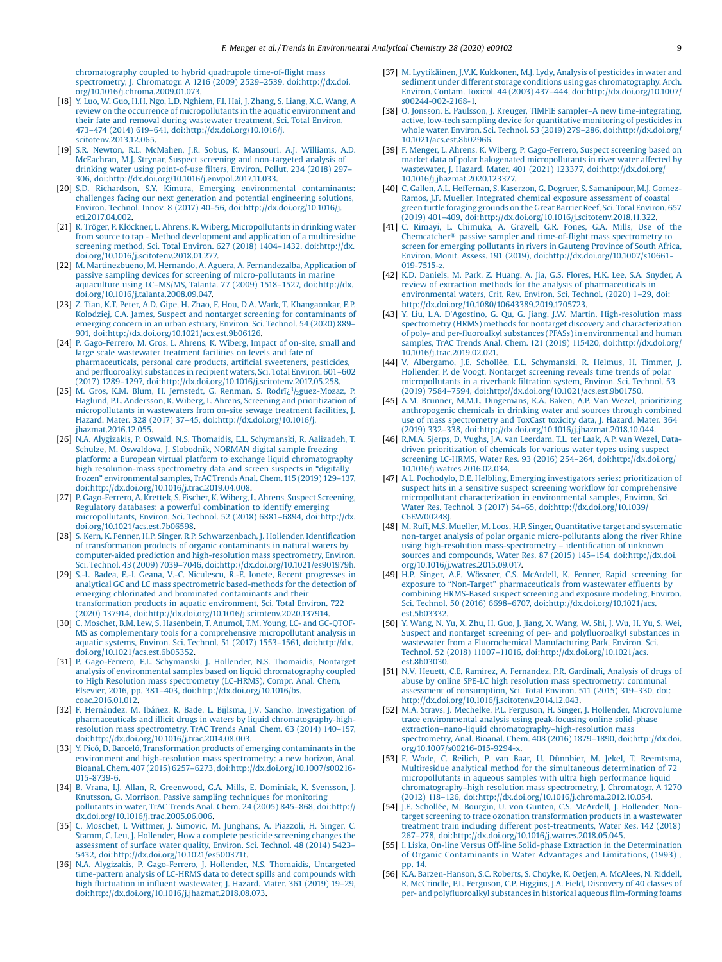<span id="page-8-0"></span>[chromatography](http://refhub.elsevier.com/S2214-1588(20)30030-1/sbref0085) coupled to hybrid quadrupole time-of-flight mass spectrometry, J. Chromatogr. A 1216 (2009) 2529–2539, [doi:http://dx.doi.](http://refhub.elsevier.com/S2214-1588(20)30030-1/sbref0085) [org/10.1016/j.chroma.2009.01.073.](http://dx.doi.org/10.1016/j.chroma.2009.01.073)

- [18] Y. Luo, W. Guo, H.H. Ngo, L.D. [Nghiem,](http://refhub.elsevier.com/S2214-1588(20)30030-1/sbref0090) F.I. Hai, J. Zhang, S. Liang, X.C. Wang, A review on the occurrence of [micropollutants](http://refhub.elsevier.com/S2214-1588(20)30030-1/sbref0090) in the aquatic environment and their fate and removal during [wastewater](http://refhub.elsevier.com/S2214-1588(20)30030-1/sbref0090) treatment, Sci. Total Environ. 473–474 (2014) 619–641, [doi:http://dx.doi.org/10.1016/j.](http://refhub.elsevier.com/S2214-1588(20)30030-1/sbref0090) scitoteny.2013.12.065.
- [19] S.R. Newton, R.L. [McMahen,](http://refhub.elsevier.com/S2214-1588(20)30030-1/sbref0095) J.R. Sobus, K. Mansouri, A.J. Williams, A.D. McEachran, M.J. Strynar, Suspect screening and [non-targeted](http://refhub.elsevier.com/S2214-1588(20)30030-1/sbref0095) analysis of drinking water using [point-of-use](http://refhub.elsevier.com/S2214-1588(20)30030-1/sbref0095) filters, Environ. Pollut. 234 (2018) 297– 306, [doi:http://dx.doi.org/10.1016/j.envpol.2017.11.033.](http://refhub.elsevier.com/S2214-1588(20)30030-1/sbref0095)
- [20] S.D. Richardson, S.Y. Kimura, Emerging [environmental](http://refhub.elsevier.com/S2214-1588(20)30030-1/sbref0100) contaminants: challenges facing our next generation and potential [engineering](http://refhub.elsevier.com/S2214-1588(20)30030-1/sbref0100) solutions, Environ. Technol. Innov. 8 (2017) 40–56, [doi:http://dx.doi.org/10.1016/j.](http://refhub.elsevier.com/S2214-1588(20)30030-1/sbref0100) [eti.2017.04.002.](http://dx.doi.org/10.1016/j.eti.2017.04.002)
- [21] R. Tröger, P. Klöckner, L. Ahrens, K. Wiberg, [Micropollutants](http://refhub.elsevier.com/S2214-1588(20)30030-1/sbref0105) in drinking water from source to tap - Method [development](http://refhub.elsevier.com/S2214-1588(20)30030-1/sbref0105) and application of a multiresidue screening method, Sci. Total Environ. 627 (2018) 1404-1432, [doi:http://dx.](http://refhub.elsevier.com/S2214-1588(20)30030-1/sbref0105) [doi.org/10.1016/j.scitotenv.2018.01.277.](http://dx.doi.org/10.1016/j.scitotenv.2018.01.277)
- [22] M. [Martinezbueno,](http://refhub.elsevier.com/S2214-1588(20)30030-1/sbref0110) M. Hernando, A. Aguera, A. Fernandezalba, Application of passive sampling devices for screening of [micro-pollutants](http://refhub.elsevier.com/S2214-1588(20)30030-1/sbref0110) in marine aquaculture using LC–MS/MS, Talanta. 77 (2009) 1518–1527, [doi:http://dx.](http://refhub.elsevier.com/S2214-1588(20)30030-1/sbref0110) [doi.org/10.1016/j.talanta.2008.09.047.](http://dx.doi.org/10.1016/j.talanta.2008.09.047)
- [23] Z. Tian, K.T. Peter, A.D. Gipe, H. Zhao, F. Hou, D.A. Wark, T. [Khangaonkar,](http://refhub.elsevier.com/S2214-1588(20)30030-1/sbref0115) E.P. Kolodziej, C.A. James, Suspect and nontarget screening for [contaminants](http://refhub.elsevier.com/S2214-1588(20)30030-1/sbref0115) of [emerging](http://refhub.elsevier.com/S2214-1588(20)30030-1/sbref0115) concern in an urban estuary, Environ. Sci. Technol. 54 (2020) 889– 901, [doi:http://dx.doi.org/10.1021/acs.est.9b06126.](http://refhub.elsevier.com/S2214-1588(20)30030-1/sbref0115)
- [24] P. [Gago-Ferrero,](http://refhub.elsevier.com/S2214-1588(20)30030-1/sbref0120) M. Gros, L. Ahrens, K. Wiberg, Impact of on-site, small and large scale [wastewater](http://refhub.elsevier.com/S2214-1588(20)30030-1/sbref0120) treatment facilities on levels and fate of [pharmaceuticals,](http://refhub.elsevier.com/S2214-1588(20)30030-1/sbref0120) personal care products, artificial sweeteners, pesticides, and perfluoroalkyl [substances](http://refhub.elsevier.com/S2214-1588(20)30030-1/sbref0120) in recipient waters, Sci. Total Environ. 601–602 (2017) 1289–1297, [doi:http://dx.doi.org/10.1016/j.scitotenv.2017.05.258.](http://refhub.elsevier.com/S2214-1588(20)30030-1/sbref0120)
- [25] M. Gros, K.M. Blum, H. Jernstedt, G. Renman, S. Rodrï¿<sup>1</sup>/<sub>2</sub>guez-Mozaz, P. Haglund, P.L. Andersson, K. Wiberg, L. Ahrens, Screening and [prioritization](http://refhub.elsevier.com/S2214-1588(20)30030-1/sbref0125) of [micropollutants](http://refhub.elsevier.com/S2214-1588(20)30030-1/sbref0125) in wastewaters from on-site sewage treatment facilities, J. Hazard. Mater. 328 (2017) 37–45, [doi:http://dx.doi.org/10.1016/j.](http://refhub.elsevier.com/S2214-1588(20)30030-1/sbref0125) [jhazmat.2016.12.055.](http://dx.doi.org/10.1016/j.jhazmat.2016.12.055)
- [26] N.A. Alygizakis, P. Oswald, N.S. Thomaidis, E.L. [Schymanski,](http://refhub.elsevier.com/S2214-1588(20)30030-1/sbref0130) R. Aalizadeh, T. Schulze, M. [Oswaldova,](http://refhub.elsevier.com/S2214-1588(20)30030-1/sbref0130) J. Slobodnik, NORMAN digital sample freezing platform: a European virtual platform to exchange liquid [chromatography](http://refhub.elsevier.com/S2214-1588(20)30030-1/sbref0130) high [resolution-mass](http://refhub.elsevier.com/S2214-1588(20)30030-1/sbref0130) spectrometry data and screen suspects in "digitally frozen" [environmental](http://refhub.elsevier.com/S2214-1588(20)30030-1/sbref0130) samples, TrAC Trends Anal. Chem.115 (2019) 129–137, [doi:http://dx.doi.org/10.1016/j.trac.2019.04.008.](http://refhub.elsevier.com/S2214-1588(20)30030-1/sbref0130)
- [27] P. [Gago-Ferrero,](http://refhub.elsevier.com/S2214-1588(20)30030-1/sbref0135) A. Krettek, S. Fischer, K. Wiberg, L. Ahrens, Suspect Screening, Regulatory databases: a powerful [combination](http://refhub.elsevier.com/S2214-1588(20)30030-1/sbref0135) to identify emerging [micropollutants,](http://refhub.elsevier.com/S2214-1588(20)30030-1/sbref0135) Environ. Sci. Technol. 52 (2018) 6881–6894, doi:http://dx. [doi.org/10.1021/acs.est.7b06598.](http://dx.doi.org/10.1021/acs.est.7b06598)
- [28] S. Kern, K. Fenner, H.P. Singer, R.P. [Schwarzenbach,](http://refhub.elsevier.com/S2214-1588(20)30030-1/sbref0140) J. Hollender, Identification of [transformation](http://refhub.elsevier.com/S2214-1588(20)30030-1/sbref0140) products of organic contaminants in natural waters by [computer-aided](http://refhub.elsevier.com/S2214-1588(20)30030-1/sbref0140) prediction and high-resolution mass spectrometry, Environ. Sci. Technol. 43 (2009) 7039–7046, [doi:http://dx.doi.org/10.1021/es901979h.](http://refhub.elsevier.com/S2214-1588(20)30030-1/sbref0140)
- [29] S.-L. Badea, E.-I. Geana, V.-C. Niculescu, R.-E. Ionete, Recent [progresses](http://refhub.elsevier.com/S2214-1588(20)30030-1/sbref0145) in analytical GC and LC mass spectrometric [based-methods](http://refhub.elsevier.com/S2214-1588(20)30030-1/sbref0145) for the detection of emerging chlorinated and brominated [contaminants](http://refhub.elsevier.com/S2214-1588(20)30030-1/sbref0145) and their [transformation](http://refhub.elsevier.com/S2214-1588(20)30030-1/sbref0145) products in aquatic environment, Sci. Total Environ. 722 (2020) 137914, [doi:http://dx.doi.org/10.1016/j.scitotenv.2020.137914.](http://refhub.elsevier.com/S2214-1588(20)30030-1/sbref0145)
- [30] C. Moschet, B.M. Lew, S. [Hasenbein,](http://refhub.elsevier.com/S2214-1588(20)30030-1/sbref0150) T. Anumol, T.M. Young, LC- and GC-QTOF-MS as [complementary](http://refhub.elsevier.com/S2214-1588(20)30030-1/sbref0150) tools for a comprehensive micropollutant analysis in aquatic systems, Environ. Sci. Technol. 51 (2017) 1553–1561, [doi:http://dx.](http://refhub.elsevier.com/S2214-1588(20)30030-1/sbref0150) [doi.org/10.1021/acs.est.6b05352.](http://dx.doi.org/10.1021/acs.est.6b05352)
- [31] P. [Gago-Ferrero,](http://refhub.elsevier.com/S2214-1588(20)30030-1/sbref0155) E.L. Schymanski, J. Hollender, N.S. Thomaidis, Nontarget analysis of environmental samples based on liquid [chromatography](http://refhub.elsevier.com/S2214-1588(20)30030-1/sbref0155) coupled to High Resolution mass [spectrometry](http://refhub.elsevier.com/S2214-1588(20)30030-1/sbref0155) (LC-HRMS), Compr. Anal. Chem, Elsevier, 2016, pp. 381–403, [doi:http://dx.doi.org/10.1016/bs.](http://refhub.elsevier.com/S2214-1588(20)30030-1/sbref0155) [coac.2016.01.012.](http://dx.doi.org/10.1016/bs.coac.2016.01.012)
- [32] F. Hernández, M. Ibáñez, R. Bade, L. Bijlsma, J.V. Sancho, [Investigation](http://refhub.elsevier.com/S2214-1588(20)30030-1/sbref0160) of pharmaceuticals and illicit drugs in waters by liquid [chromatography-high](http://refhub.elsevier.com/S2214-1588(20)30030-1/sbref0160)resolution mass [spectrometry,](http://refhub.elsevier.com/S2214-1588(20)30030-1/sbref0160) TrAC Trends Anal. Chem. 63 (2014) 140–157, [doi:http://dx.doi.org/10.1016/j.trac.2014.08.003.](http://refhub.elsevier.com/S2214-1588(20)30030-1/sbref0160)
- [33] Y. Picó, D. Barceló, [Transformation](http://refhub.elsevier.com/S2214-1588(20)30030-1/sbref0165) products of emerging contaminants in the environment and [high-resolution](http://refhub.elsevier.com/S2214-1588(20)30030-1/sbref0165) mass spectrometry: a new horizon, Anal. Bioanal. Chem. 407 (2015) 6257–6273, [doi:http://dx.doi.org/10.1007/s00216-](http://refhub.elsevier.com/S2214-1588(20)30030-1/sbref0165) [015-8739-6.](http://dx.doi.org/10.1007/s00216-015-8739-6)
- [34] B. Vrana, I.J. Allan, R. [Greenwood,](http://refhub.elsevier.com/S2214-1588(20)30030-1/sbref0170) G.A. Mills, E. Dominiak, K. Svensson, J. Knutsson, G. Morrison, Passive sampling techniques for [monitoring](http://refhub.elsevier.com/S2214-1588(20)30030-1/sbref0170) pollutants in water, TrAC Trends Anal. Chem. 24 (2005) 845–868, [doi:http://](http://refhub.elsevier.com/S2214-1588(20)30030-1/sbref0170) [dx.doi.org/10.1016/j.trac.2005.06.006.](http://dx.doi.org/10.1016/j.trac.2005.06.006)
- [35] C. Moschet, I. Wittmer, J. Simovic, M. [Junghans,](http://refhub.elsevier.com/S2214-1588(20)30030-1/sbref0175) A. Piazzoli, H. Singer, C. Stamm, C. Leu, J. [Hollender,](http://refhub.elsevier.com/S2214-1588(20)30030-1/sbref0175) How a complete pesticide screening changes the [assessment](http://refhub.elsevier.com/S2214-1588(20)30030-1/sbref0175) of surface water quality, Environ. Sci. Technol. 48 (2014) 5423– 5432, [doi:http://dx.doi.org/10.1021/es500371t.](http://refhub.elsevier.com/S2214-1588(20)30030-1/sbref0175)
- [36] N.A. Alygizakis, P. [Gago-Ferrero,](http://refhub.elsevier.com/S2214-1588(20)30030-1/sbref0180) J. Hollender, N.S. Thomaidis, Untargeted [time-pattern](http://refhub.elsevier.com/S2214-1588(20)30030-1/sbref0180) analysis of LC-HRMS data to detect spills and compounds with high fluctuation in influent [wastewater,](http://refhub.elsevier.com/S2214-1588(20)30030-1/sbref0180) J. Hazard. Mater. 361 (2019) 19–29, [doi:http://dx.doi.org/10.1016/j.jhazmat.2018.08.073.](http://refhub.elsevier.com/S2214-1588(20)30030-1/sbref0180)
- [37] M. [Lyytikäinen,](http://refhub.elsevier.com/S2214-1588(20)30030-1/sbref0185) J.V.K. Kukkonen, M.J. Lydy, Analysis of pesticides in water and sediment under different storage conditions using gas [chromatography,](http://refhub.elsevier.com/S2214-1588(20)30030-1/sbref0185) Arch. Environ. Contam. Toxicol. 44 (2003) 437–444, [doi:http://dx.doi.org/10.1007/](http://refhub.elsevier.com/S2214-1588(20)30030-1/sbref0185) [s00244-002-2168-1.](http://dx.doi.org/10.1007/s00244-002-2168-1)
- [38] O. Jonsson, E. Paulsson, J. Kreuger, TIMFIE sampler-A new [time-integrating,](http://refhub.elsevier.com/S2214-1588(20)30030-1/sbref0190) active, low-tech sampling device for [quantitative](http://refhub.elsevier.com/S2214-1588(20)30030-1/sbref0190) monitoring of pesticides in whole water, Environ. Sci. Technol. 53 (2019) 279–286, [doi:http://dx.doi.org/](http://refhub.elsevier.com/S2214-1588(20)30030-1/sbref0190) [10.1021/acs.est.8b02966.](http://dx.doi.org/10.1021/acs.est.8b02966)
- [39] F. Menger, L. Ahrens, K. Wiberg, P. [Gago-Ferrero,](http://refhub.elsevier.com/S2214-1588(20)30030-1/sbref0195) Suspect screening based on market data of polar halogenated [micropollutants](http://refhub.elsevier.com/S2214-1588(20)30030-1/sbref0195) in river water affected by wastewater, J. Hazard. Mater. 401 (2021) 123377, [doi:http://dx.doi.org/](http://refhub.elsevier.com/S2214-1588(20)30030-1/sbref0195) [10.1016/j.jhazmat.2020.123377.](http://dx.doi.org/10.1016/j.jhazmat.2020.123377)
- [40] C. Gallen, A.L. Heffernan, S. Kaserzon, G. Dogruer, S. [Samanipour,](http://refhub.elsevier.com/S2214-1588(20)30030-1/sbref0200) M.J. Gomez-Ramos, J.F. Mueller, Integrated chemical exposure [assessment](http://refhub.elsevier.com/S2214-1588(20)30030-1/sbref0200) of coastal green turtle [foraging](http://refhub.elsevier.com/S2214-1588(20)30030-1/sbref0200) grounds on the Great Barrier Reef, Sci. Total Environ. 657 (2019) 401–409, [doi:http://dx.doi.org/10.1016/j.scitotenv.2018.11.322.](http://refhub.elsevier.com/S2214-1588(20)30030-1/sbref0200)
- [41] C. Rimayi, L. [Chimuka,](http://refhub.elsevier.com/S2214-1588(20)30030-1/sbref0205) A. Gravell, G.R. Fones, G.A. Mills, Use of the Chemcatcher<sup>®</sup> passive sampler and time-of-flight mass [spectrometry](http://refhub.elsevier.com/S2214-1588(20)30030-1/sbref0205) to screen for emerging [pollutants](http://refhub.elsevier.com/S2214-1588(20)30030-1/sbref0205) in rivers in Gauteng Province of South Africa, Environ. Monit. Assess. 191 (2019), [doi:http://dx.doi.org/10.1007/s10661-](http://refhub.elsevier.com/S2214-1588(20)30030-1/sbref0205) [019-7515-z.](http://dx.doi.org/10.1007/s10661-019-7515-z)
- [42] K.D. [Daniels,](http://refhub.elsevier.com/S2214-1588(20)30030-1/sbref0210) M. Park, Z. Huang, A. Jia, G.S. Flores, H.K. Lee, S.A. Snyder, A review of extraction methods for the analysis of [pharmaceuticals](http://refhub.elsevier.com/S2214-1588(20)30030-1/sbref0210) in [environmental](http://refhub.elsevier.com/S2214-1588(20)30030-1/sbref0210) waters, Crit. Rev. Environ. Sci. Technol. (2020) 1–29, doi: [http://dx.doi.org/10.1080/10643389.2019.1705723.](http://dx.doi.org/10.1080/10643389.2019.1705723)
- [43] Y. Liu, L.A. D'Agostino, G. Qu, G. Jiang, J.W. Martin, [High-resolution](http://refhub.elsevier.com/S2214-1588(20)30030-1/sbref0215) mass spectrometry (HRMS) methods for nontarget discovery and [characterization](http://refhub.elsevier.com/S2214-1588(20)30030-1/sbref0215) of poly- and per-fluoroalkyl substances (PFASs) in [environmental](http://refhub.elsevier.com/S2214-1588(20)30030-1/sbref0215) and human samples, TrAC Trends Anal. Chem. 121 (2019) 115420, [doi:http://dx.doi.org/](http://refhub.elsevier.com/S2214-1588(20)30030-1/sbref0215) [10.1016/j.trac.2019.02.021.](http://dx.doi.org/10.1016/j.trac.2019.02.021)
- [44] V. Albergamo, J.E. Schollée, E.L. [Schymanski,](http://refhub.elsevier.com/S2214-1588(20)30030-1/sbref0220) R. Helmus, H. Timmer, J. [Hollender,](http://refhub.elsevier.com/S2214-1588(20)30030-1/sbref0220) P. de Voogt, Nontarget screening reveals time trends of polar [micropollutants](http://refhub.elsevier.com/S2214-1588(20)30030-1/sbref0220) in a riverbank filtration system, Environ. Sci. Technol. 53 (2019) 7584–7594, [doi:http://dx.doi.org/10.1021/acs.est.9b01750.](http://refhub.elsevier.com/S2214-1588(20)30030-1/sbref0220)
- [45] A.M. Brunner, M.M.L. [Dingemans,](http://refhub.elsevier.com/S2214-1588(20)30030-1/sbref0225) K.A. Baken, A.P. Van Wezel, prioritizing [anthropogenic](http://refhub.elsevier.com/S2214-1588(20)30030-1/sbref0225) chemicals in drinking water and sources through combined use of mass [spectrometry](http://refhub.elsevier.com/S2214-1588(20)30030-1/sbref0225) and ToxCast toxicity data, J. Hazard. Mater. 364 (2019) 332–338, [doi:http://dx.doi.org/10.1016/j.jhazmat.2018.10.044.](http://refhub.elsevier.com/S2214-1588(20)30030-1/sbref0225)
- [46] R.M.A. Sjerps, D. Vughs, J.A. van [Leerdam,](http://refhub.elsevier.com/S2214-1588(20)30030-1/sbref0230) T.L. ter Laak, A.P. van Wezel, Datadriven [prioritization](http://refhub.elsevier.com/S2214-1588(20)30030-1/sbref0230) of chemicals for various water types using suspect screening LC-HRMS, Water Res. 93 (2016) 254–264, [doi:http://dx.doi.org/](http://refhub.elsevier.com/S2214-1588(20)30030-1/sbref0230) [10.1016/j.watres.2016.02.034.](http://dx.doi.org/10.1016/j.watres.2016.02.034)
- [47] A.L. Pochodylo, D.E. Helbling, Emerging investigators series: [prioritization](http://refhub.elsevier.com/S2214-1588(20)30030-1/sbref0235) of suspect hits in a sensitive suspect screening workflow for [comprehensive](http://refhub.elsevier.com/S2214-1588(20)30030-1/sbref0235) micropollutant [characterization](http://refhub.elsevier.com/S2214-1588(20)30030-1/sbref0235) in environmental samples, Environ. Sci. Water Res. Technol. 3 (2017) 54–65, [doi:http://dx.doi.org/10.1039/](http://refhub.elsevier.com/S2214-1588(20)30030-1/sbref0235) [C6EW00248J.](http://dx.doi.org/10.1039/C6EW00248J)
- [48] M. Ruff, M.S. Mueller, M. Loos, H.P. Singer, [Quantitative](http://refhub.elsevier.com/S2214-1588(20)30030-1/sbref0240) target and systematic non-target analysis of polar organic [micro-pollutants](http://refhub.elsevier.com/S2214-1588(20)30030-1/sbref0240) along the river Rhine using high-resolution [mass-spectrometry](http://refhub.elsevier.com/S2214-1588(20)30030-1/sbref0240) – identification of unknown sources and compounds, Water Res. 87 (2015) 145–154, [doi:http://dx.doi.](http://refhub.elsevier.com/S2214-1588(20)30030-1/sbref0240) [org/10.1016/j.watres.2015.09.017.](http://dx.doi.org/10.1016/j.watres.2015.09.017)
- [49] H.P. Singer, A.E. Wössner, C.S. McArdell, K. Fenner, Rapid [screening](http://refhub.elsevier.com/S2214-1588(20)30030-1/sbref0245) for exposure to "Non-Target" [pharmaceuticals](http://refhub.elsevier.com/S2214-1588(20)30030-1/sbref0245) from wastewater effluents by combining [HRMS-Based](http://refhub.elsevier.com/S2214-1588(20)30030-1/sbref0245) suspect screening and exposure modeling, Environ. Sci. Technol. 50 (2016) 6698–6707, [doi:http://dx.doi.org/10.1021/acs.](http://refhub.elsevier.com/S2214-1588(20)30030-1/sbref0245) [est.5b03332.](http://dx.doi.org/10.1021/acs.est.5b03332)
- [50] Y. Wang, N. Yu, X. Zhu, H. Guo, J. Jiang, X. [Wang,](http://refhub.elsevier.com/S2214-1588(20)30030-1/sbref0250) W. Shi, J. Wu, H. Yu, S. Wei, Suspect and nontarget screening of per- and polyfluoroalkyl [substances](http://refhub.elsevier.com/S2214-1588(20)30030-1/sbref0250) in wastewater from a [Fluorochemical](http://refhub.elsevier.com/S2214-1588(20)30030-1/sbref0250) Manufacturing Park, Environ. Sci. Technol. 52 (2018) 11007–11016, [doi:http://dx.doi.org/10.1021/acs.](http://refhub.elsevier.com/S2214-1588(20)30030-1/sbref0250) [est.8b03030.](http://dx.doi.org/10.1021/acs.est.8b03030)
- [51] N.V. Heuett, C.E. Ramirez, A. [Fernandez,](http://refhub.elsevier.com/S2214-1588(20)30030-1/sbref0255) P.R. Gardinali, Analysis of drugs of abuse by online SPE-LC high resolution mass [spectrometry:](http://refhub.elsevier.com/S2214-1588(20)30030-1/sbref0255) communal assessment of [consumption,](http://refhub.elsevier.com/S2214-1588(20)30030-1/sbref0255) Sci. Total Environ. 511 (2015) 319–330, doi: [http://dx.doi.org/10.1016/j.scitotenv.2014.12.043.](http://dx.doi.org/10.1016/j.scitotenv.2014.12.043)
- [52] M.A. Stravs, J. Mechelke, P.L. Ferguson, H. Singer, J. Hollender, [Microvolume](http://refhub.elsevier.com/S2214-1588(20)30030-1/sbref0260) trace [environmental](http://refhub.elsevier.com/S2214-1588(20)30030-1/sbref0260) analysis using peak-focusing online solid-phase extraction–nano-liquid [chromatography](http://refhub.elsevier.com/S2214-1588(20)30030-1/sbref0260)–high-resolution mass spectrometry, Anal. Bioanal. Chem. 408 (2016) 1879–1890, [doi:http://dx.doi.](http://refhub.elsevier.com/S2214-1588(20)30030-1/sbref0260) [org/10.1007/s00216-015-9294-x.](http://dx.doi.org/10.1007/s00216-015-9294-x)
- [53] F. Wode, C. Reilich, P. van Baar, U. Dünnbier, M. Jekel, T. [Reemtsma,](http://refhub.elsevier.com/S2214-1588(20)30030-1/sbref0265) Multiresidue analytical method for the simultaneous [determination](http://refhub.elsevier.com/S2214-1588(20)30030-1/sbref0265) of 72 [micropollutants](http://refhub.elsevier.com/S2214-1588(20)30030-1/sbref0265) in aqueous samples with ultra high performance liquid [chromatography](http://refhub.elsevier.com/S2214-1588(20)30030-1/sbref0265)–high resolution mass spectrometry, J. Chromatogr. A 1270 (2012) 118–126, [doi:http://dx.doi.org/10.1016/j.chroma.2012.10.054.](http://refhub.elsevier.com/S2214-1588(20)30030-1/sbref0265)
- [54] J.E. Schollée, M. Bourgin, U. von Gunten, C.S. McArdell, J. [Hollender,](http://refhub.elsevier.com/S2214-1588(20)30030-1/sbref0270) Nontarget screening to trace ozonation [transformation](http://refhub.elsevier.com/S2214-1588(20)30030-1/sbref0270) products in a wastewater treatment train including different [post-treatments,](http://refhub.elsevier.com/S2214-1588(20)30030-1/sbref0270) Water Res. 142 (2018) 267–278, [doi:http://dx.doi.org/10.1016/j.watres.2018.05.045.](http://refhub.elsevier.com/S2214-1588(20)30030-1/sbref0270)
- [55] I. Liska, On-line Versus Off-line Solid-phase Extraction in the [Determination](http://refhub.elsevier.com/S2214-1588(20)30030-1/sbref0275) of Organic [Contaminants](http://refhub.elsevier.com/S2214-1588(20)30030-1/sbref0275) in Water Advantages and Limitations, (1993) , [pp.](http://refhub.elsevier.com/S2214-1588(20)30030-1/sbref0275) 14.
- [56] K.A. [Barzen-Hanson,](http://refhub.elsevier.com/S2214-1588(20)30030-1/sbref0280) S.C. Roberts, S. Choyke, K. Oetjen, A. McAlees, N. Riddell, R. [McCrindle,](http://refhub.elsevier.com/S2214-1588(20)30030-1/sbref0280) P.L. Ferguson, C.P. Higgins, J.A. Field, Discovery of 40 classes of per- and polyfluoroalkyl substances in historical aqueous fi[lm-forming](http://refhub.elsevier.com/S2214-1588(20)30030-1/sbref0280) foams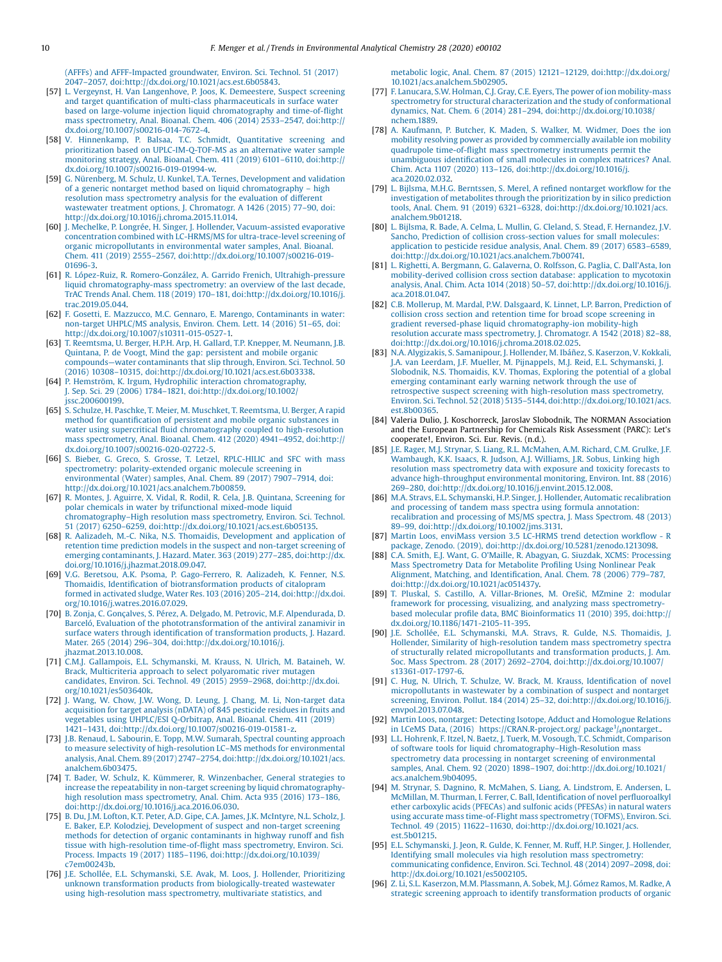<span id="page-9-0"></span>(AFFFs) and [AFFF-Impacted](http://refhub.elsevier.com/S2214-1588(20)30030-1/sbref0280) groundwater, Environ. Sci. Technol. 51 (2017) 2047–2057, [doi:http://dx.doi.org/10.1021/acs.est.6b05843.](http://refhub.elsevier.com/S2214-1588(20)30030-1/sbref0280)

- [57] L. Vergeynst, H. Van [Langenhove,](http://refhub.elsevier.com/S2214-1588(20)30030-1/sbref0285) P. Joos, K. Demeestere, Suspect screening and target quantification of multi-class [pharmaceuticals](http://refhub.elsevier.com/S2214-1588(20)30030-1/sbref0285) in surface water based on large-volume injection liquid [chromatography](http://refhub.elsevier.com/S2214-1588(20)30030-1/sbref0285) and time-of-flight mass [spectrometry,](http://refhub.elsevier.com/S2214-1588(20)30030-1/sbref0285) Anal. Bioanal. Chem. 406 (2014) 2533–2547, doi:http:// [dx.doi.org/10.1007/s00216-014-7672-4.](http://dx.doi.org/10.1007/s00216-014-7672-4)
- [58] V. [Hinnenkamp,](http://refhub.elsevier.com/S2214-1588(20)30030-1/sbref0290) P. Balsaa, T.C. Schmidt, Quantitative screening and prioritization based on [UPLC-IM-Q-TOF-MS](http://refhub.elsevier.com/S2214-1588(20)30030-1/sbref0290) as an alternative water sample [monitoring](http://refhub.elsevier.com/S2214-1588(20)30030-1/sbref0290) strategy, Anal. Bioanal. Chem. 411 (2019) 6101–6110, doi:http:// [dx.doi.org/10.1007/s00216-019-01994-w.](http://dx.doi.org/10.1007/s00216-019-01994-w)
- [59] G. Nürenberg, M. Schulz, U. Kunkel, T.A. Ternes, [Development](http://refhub.elsevier.com/S2214-1588(20)30030-1/sbref0295) and validation of a generic nontarget method based on liquid [chromatography](http://refhub.elsevier.com/S2214-1588(20)30030-1/sbref0295) – high resolution mass [spectrometry](http://refhub.elsevier.com/S2214-1588(20)30030-1/sbref0295) analysis for the evaluation of different wastewater treatment options, J. [Chromatogr.](http://refhub.elsevier.com/S2214-1588(20)30030-1/sbref0295) A 1426 (2015) 77–90, doi: [http://dx.doi.org/10.1016/j.chroma.2015.11.014.](http://dx.doi.org/10.1016/j.chroma.2015.11.014)
- [60] J. Mechelke, P. Longrée, H. Singer, J. Hollender, [Vacuum-assisted](http://refhub.elsevier.com/S2214-1588(20)30030-1/sbref0300) evaporative concentration combined with LC-HRMS/MS for [ultra-trace-level](http://refhub.elsevier.com/S2214-1588(20)30030-1/sbref0300) screening of organic [micropollutants](http://refhub.elsevier.com/S2214-1588(20)30030-1/sbref0300) in environmental water samples, Anal. Bioanal. Chem. 411 (2019) 2555–2567, [doi:http://dx.doi.org/10.1007/s00216-019-](http://refhub.elsevier.com/S2214-1588(20)30030-1/sbref0300) [01696-3.](http://dx.doi.org/10.1007/s00216-019-01696-3)
- [61] R. López-Ruiz, R. Romero-González, A. Garrido Frenich, [Ultrahigh-pressure](http://refhub.elsevier.com/S2214-1588(20)30030-1/sbref0305) liquid [chromatography-mass](http://refhub.elsevier.com/S2214-1588(20)30030-1/sbref0305) spectrometry: an overview of the last decade, TrAC Trends Anal. Chem. 118 (2019) 170–181, [doi:http://dx.doi.org/10.1016/j.](http://refhub.elsevier.com/S2214-1588(20)30030-1/sbref0305) [trac.2019.05.044.](http://dx.doi.org/10.1016/j.trac.2019.05.044)
- [62] F. Gosetti, E. Mazzucco, M.C. Gennaro, E. Marengo, [Contaminants](http://refhub.elsevier.com/S2214-1588(20)30030-1/sbref0310) in water: non-target [UHPLC/MS](http://refhub.elsevier.com/S2214-1588(20)30030-1/sbref0310) analysis, Environ. Chem. Lett. 14 (2016) 51–65, doi: [http://dx.doi.org/10.1007/s10311-015-0527-1.](http://dx.doi.org/10.1007/s10311-015-0527-1)
- [63] T. [Reemtsma,](http://refhub.elsevier.com/S2214-1588(20)30030-1/sbref0315) U. Berger, H.P.H. Arp, H. Gallard, T.P. Knepper, M. Neumann, J.B. Quintana, P. de Voogt, Mind the gap: [persistent](http://refhub.elsevier.com/S2214-1588(20)30030-1/sbref0315) and mobile organic compounds—water [contaminants](http://refhub.elsevier.com/S2214-1588(20)30030-1/sbref0315) that slip through, Environ. Sci. Technol. 50 (2016) 10308–10315, [doi:http://dx.doi.org/10.1021/acs.est.6b03338.](http://refhub.elsevier.com/S2214-1588(20)30030-1/sbref0315)
- [64] P. Hemström, K. Irgum, Hydrophilic interaction [chromatography,](http://refhub.elsevier.com/S2214-1588(20)30030-1/sbref0320) J. Sep. Sci. 29 (2006) 1784–1821, [doi:http://dx.doi.org/10.1002/](http://refhub.elsevier.com/S2214-1588(20)30030-1/sbref0320) [jssc.200600199.](http://dx.doi.org/10.1002/jssc.200600199)
- [65] S. Schulze, H. Paschke, T. Meier, M. Muschket, T. [Reemtsma,](http://refhub.elsevier.com/S2214-1588(20)30030-1/sbref0325) U. Berger, A rapid method for quantification of persistent and mobile organic [substances](http://refhub.elsevier.com/S2214-1588(20)30030-1/sbref0325) in water using supercritical fluid [chromatography](http://refhub.elsevier.com/S2214-1588(20)30030-1/sbref0325) coupled to high-resolution mass [spectrometry,](http://refhub.elsevier.com/S2214-1588(20)30030-1/sbref0325) Anal. Bioanal. Chem. 412 (2020) 4941–4952, doi:http:// [dx.doi.org/10.1007/s00216-020-02722-5.](http://dx.doi.org/10.1007/s00216-020-02722-5)
- [66] S. Bieber, G. Greco, S. Grosse, T. Letzel, [RPLC-HILIC](http://refhub.elsevier.com/S2214-1588(20)30030-1/sbref0330) and SFC with mass spectrometry: [polarity-extended](http://refhub.elsevier.com/S2214-1588(20)30030-1/sbref0330) organic molecule screening in [environmental](http://refhub.elsevier.com/S2214-1588(20)30030-1/sbref0330) (Water) samples, Anal. Chem. 89 (2017) 7907–7914, doi: [http://dx.doi.org/10.1021/acs.analchem.7b00859.](http://dx.doi.org/10.1021/acs.analchem.7b00859)
- [67] R. Montes, J. Aguirre, X. Vidal, R. Rodil, R. Cela, J.B. Quintana, [Screening](http://refhub.elsevier.com/S2214-1588(20)30030-1/sbref0335) for polar chemicals in water by trifunctional [mixed-mode](http://refhub.elsevier.com/S2214-1588(20)30030-1/sbref0335) liquid [chromatography](http://refhub.elsevier.com/S2214-1588(20)30030-1/sbref0335)–High resolution mass spectrometry, Environ. Sci. Technol. 51 (2017) 6250–6259, [doi:http://dx.doi.org/10.1021/acs.est.6b05135.](http://refhub.elsevier.com/S2214-1588(20)30030-1/sbref0335)
- [68] R. Aalizadeh, M.-C. Nika, N.S. Thomaidis, [Development](http://refhub.elsevier.com/S2214-1588(20)30030-1/sbref0340) and application of retention time prediction models in the suspect and [non-target](http://refhub.elsevier.com/S2214-1588(20)30030-1/sbref0340) screening of emerging [contaminants,](http://refhub.elsevier.com/S2214-1588(20)30030-1/sbref0340) J. Hazard. Mater. 363 (2019) 277–285, doi:http://dx. [doi.org/10.1016/j.jhazmat.2018.09.047.](http://dx.doi.org/10.1016/j.jhazmat.2018.09.047)
- [69] V.G. Beretsou, A.K. Psoma, P. [Gago-Ferrero,](http://refhub.elsevier.com/S2214-1588(20)30030-1/sbref0345) R. Aalizadeh, K. Fenner, N.S. Thomaidis, Identification of [biotransformation](http://refhub.elsevier.com/S2214-1588(20)30030-1/sbref0345) products of citalopram formed in activated sludge, Water Res.103 (2016) 205–214, [doi:http://dx.doi.](http://refhub.elsevier.com/S2214-1588(20)30030-1/sbref0345) [org/10.1016/j.watres.2016.07.029.](http://dx.doi.org/10.1016/j.watres.2016.07.029)
- [70] B. Zonja, C. Gonçalves, S. Pérez, A. Delgado, M. Petrovic, M.F. [Alpendurada,](http://refhub.elsevier.com/S2214-1588(20)30030-1/sbref0350) D. Barceló, Evaluation of the [phototransformation](http://refhub.elsevier.com/S2214-1588(20)30030-1/sbref0350) of the antiviral zanamivir in surface waters through identification of [transformation](http://refhub.elsevier.com/S2214-1588(20)30030-1/sbref0350) products, J. Hazard. Mater. 265 (2014) 296–304, [doi:http://dx.doi.org/10.1016/j.](http://refhub.elsevier.com/S2214-1588(20)30030-1/sbref0350) [jhazmat.2013.10.008.](http://dx.doi.org/10.1016/j.jhazmat.2013.10.008)
- [71] C.M.J. Gallampois, E.L. [Schymanski,](http://refhub.elsevier.com/S2214-1588(20)30030-1/sbref0355) M. Krauss, N. Ulrich, M. Bataineh, W. Brack, Multicriteria approach to select [polyaromatic](http://refhub.elsevier.com/S2214-1588(20)30030-1/sbref0355) river mutagen candidates, Environ. Sci. Technol. 49 (2015) 2959–2968, [doi:http://dx.doi.](http://refhub.elsevier.com/S2214-1588(20)30030-1/sbref0355) [org/10.1021/es503640k.](http://dx.doi.org/10.1021/es503640k)
- [72] J. Wang, W. Chow, J.W. Wong, D. Leung, J. Chang, M. Li, [Non-target](http://refhub.elsevier.com/S2214-1588(20)30030-1/sbref0360) data [acquisition](http://refhub.elsevier.com/S2214-1588(20)30030-1/sbref0360) for target analysis (nDATA) of 845 pesticide residues in fruits and vegetables using UHPLC/ESI [Q-Orbitrap,](http://refhub.elsevier.com/S2214-1588(20)30030-1/sbref0360) Anal. Bioanal. Chem. 411 (2019) 1421–1431, [doi:http://dx.doi.org/10.1007/s00216-019-01581-z.](http://refhub.elsevier.com/S2214-1588(20)30030-1/sbref0360)
- [73] J.B. Renaud, L. [Sabourin,](http://refhub.elsevier.com/S2214-1588(20)30030-1/sbref0365) E. Topp, M.W. Sumarah, Spectral counting approach to measure selectivity of [high-resolution](http://refhub.elsevier.com/S2214-1588(20)30030-1/sbref0365) LC–MS methods for environmental analysis, Anal. Chem. 89 (2017) 2747–2754, [doi:http://dx.doi.org/10.1021/acs.](http://refhub.elsevier.com/S2214-1588(20)30030-1/sbref0365) [analchem.6b03475.](http://dx.doi.org/10.1021/acs.analchem.6b03475)
- [74] T. Bader, W. Schulz, K. Kümmerer, R. [Winzenbacher,](http://refhub.elsevier.com/S2214-1588(20)30030-1/sbref0370) General strategies to increase the repeatability in non-target screening by liquid [chromatography](http://refhub.elsevier.com/S2214-1588(20)30030-1/sbref0370)high resolution mass [spectrometry,](http://refhub.elsevier.com/S2214-1588(20)30030-1/sbref0370) Anal. Chim. Acta 935 (2016) 173–186, [doi:http://dx.doi.org/10.1016/j.aca.2016.06.030.](http://refhub.elsevier.com/S2214-1588(20)30030-1/sbref0370)
- [75] B. Du, J.M. Lofton, K.T. Peter, A.D. Gipe, C.A. James, J.K. [McIntyre,](http://refhub.elsevier.com/S2214-1588(20)30030-1/sbref0375) N.L. Scholz, J. E. Baker, E.P. Kolodziej, [Development](http://refhub.elsevier.com/S2214-1588(20)30030-1/sbref0375) of suspect and non-target screening methods for detection of organic [contaminants](http://refhub.elsevier.com/S2214-1588(20)30030-1/sbref0375) in highway runoff and fish tissue with [high-resolution](http://refhub.elsevier.com/S2214-1588(20)30030-1/sbref0375) time-of-flight mass spectrometry, Environ. Sci. Process. Impacts 19 (2017) 1185–1196, [doi:http://dx.doi.org/10.1039/](http://refhub.elsevier.com/S2214-1588(20)30030-1/sbref0375) [c7em00243b.](http://dx.doi.org/10.1039/c7em00243b)
- [76] J.E. Schollée, E.L. [Schymanski,](http://refhub.elsevier.com/S2214-1588(20)30030-1/sbref0380) S.E. Avak, M. Loos, J. Hollender, Prioritizing unknown transformation products from [biologically-treated](http://refhub.elsevier.com/S2214-1588(20)30030-1/sbref0380) wastewater using [high-resolution](http://refhub.elsevier.com/S2214-1588(20)30030-1/sbref0380) mass spectrometry, multivariate statistics, and

metabolic logic, Anal. Chem. 87 (2015) 12121–12129, [doi:http://dx.doi.org/](http://refhub.elsevier.com/S2214-1588(20)30030-1/sbref0380) [10.1021/acs.analchem.5b02905.](http://dx.doi.org/10.1021/acs.analchem.5b02905)

- [77] F. Lanucara, S.W. Holman, C.J. Gray, C.E. Eyers, The power of ion [mobility-mass](http://refhub.elsevier.com/S2214-1588(20)30030-1/sbref0385) spectrometry for structural [characterization](http://refhub.elsevier.com/S2214-1588(20)30030-1/sbref0385) and the study of conformational dynamics, Nat. Chem. 6 (2014) 281–294, [doi:http://dx.doi.org/10.1038/](http://refhub.elsevier.com/S2214-1588(20)30030-1/sbref0385) [nchem.1889.](http://dx.doi.org/10.1038/nchem.1889)
- [78] A. [Kaufmann,](http://refhub.elsevier.com/S2214-1588(20)30030-1/sbref0390) P. Butcher, K. Maden, S. Walker, M. Widmer, Does the ion mobility resolving power as provided by [commercially](http://refhub.elsevier.com/S2214-1588(20)30030-1/sbref0390) available ion mobility quadrupole time-of-flight mass [spectrometry](http://refhub.elsevier.com/S2214-1588(20)30030-1/sbref0390) instruments permit the [unambiguous](http://refhub.elsevier.com/S2214-1588(20)30030-1/sbref0390) identification of small molecules in complex matrices? Anal. Chim. Acta 1107 (2020) 113–126, [doi:http://dx.doi.org/10.1016/j.](http://refhub.elsevier.com/S2214-1588(20)30030-1/sbref0390) [aca.2020.02.032.](http://dx.doi.org/10.1016/j.aca.2020.02.032)
- [79] L. Bijlsma, M.H.G. [Berntssen,](http://refhub.elsevier.com/S2214-1588(20)30030-1/sbref0395) S. Merel, A refined nontarget workflow for the investigation of metabolites through the [prioritization](http://refhub.elsevier.com/S2214-1588(20)30030-1/sbref0395) by in silico prediction tools, Anal. Chem. 91 (2019) 6321–6328, [doi:http://dx.doi.org/10.1021/acs.](http://refhub.elsevier.com/S2214-1588(20)30030-1/sbref0395) [analchem.9b01218.](http://dx.doi.org/10.1021/acs.analchem.9b01218)
- [80] L. Bijlsma, R. Bade, A. Celma, L. Mullin, G. Cleland, S. Stead, F. [Hernandez,](http://refhub.elsevier.com/S2214-1588(20)30030-1/sbref0400) J.V. Sancho, Prediction of collision [cross-section](http://refhub.elsevier.com/S2214-1588(20)30030-1/sbref0400) values for small molecules: [application](http://refhub.elsevier.com/S2214-1588(20)30030-1/sbref0400) to pesticide residue analysis, Anal. Chem. 89 (2017) 6583–6589, [doi:http://dx.doi.org/10.1021/acs.analchem.7b00741.](http://refhub.elsevier.com/S2214-1588(20)30030-1/sbref0400)
- [81] L. Righetti, A. [Bergmann,](http://refhub.elsevier.com/S2214-1588(20)30030-1/sbref0405) G. Galaverna, O. Rolfsson, G. Paglia, C. Dall'Asta, Ion [mobility-derived](http://refhub.elsevier.com/S2214-1588(20)30030-1/sbref0405) collision cross section database: application to mycotoxin analysis, Anal. Chim. Acta 1014 (2018) 50–57, [doi:http://dx.doi.org/10.1016/j.](http://refhub.elsevier.com/S2214-1588(20)30030-1/sbref0405) [aca.2018.01.047.](http://dx.doi.org/10.1016/j.aca.2018.01.047)
- [82] C.B. Mollerup, M. Mardal, P.W. [Dalsgaard,](http://refhub.elsevier.com/S2214-1588(20)30030-1/sbref0410) K. Linnet, L.P. Barron, Prediction of collision cross section and retention time for broad scope [screening](http://refhub.elsevier.com/S2214-1588(20)30030-1/sbref0410) in gradient reversed-phase liquid [chromatography-ion](http://refhub.elsevier.com/S2214-1588(20)30030-1/sbref0410) mobility-high resolution accurate mass [spectrometry,](http://refhub.elsevier.com/S2214-1588(20)30030-1/sbref0410) J. Chromatogr. A 1542 (2018) 82–88, [doi:http://dx.doi.org/10.1016/j.chroma.2018.02.025.](http://refhub.elsevier.com/S2214-1588(20)30030-1/sbref0410)
- [83] N.A. Alygizakis, S. [Samanipour,](http://refhub.elsevier.com/S2214-1588(20)30030-1/sbref0415) J. Hollender, M. Ibáñez, S. Kaserzon, V. Kokkali, J.A. van Leerdam, J.F. Mueller, M. Pijnappels, M.J. Reid, E.L. [Schymanski,](http://refhub.elsevier.com/S2214-1588(20)30030-1/sbref0415) J. Slobodnik, N.S. [Thomaidis,](http://refhub.elsevier.com/S2214-1588(20)30030-1/sbref0415) K.V. Thomas, Exploring the potential of a global emerging [contaminant](http://refhub.elsevier.com/S2214-1588(20)30030-1/sbref0415) early warning network through the use of retrospective suspect screening with [high-resolution](http://refhub.elsevier.com/S2214-1588(20)30030-1/sbref0415) mass spectrometry, Environ. Sci. Technol. 52 (2018) 5135–5144, [doi:http://dx.doi.org/10.1021/acs.](http://refhub.elsevier.com/S2214-1588(20)30030-1/sbref0415) [est.8b00365.](http://dx.doi.org/10.1021/acs.est.8b00365)
- [84] Valeria Dulio, J. Koschorreck, Jaroslav Slobodnik, The NORMAN Association and the European Partnership for Chemicals Risk Assessment (PARC): Let's cooperate!, Environ. Sci. Eur. Revis. (n.d.).
- [85] J.E. Rager, M.J. Strynar, S. Liang, R.L. [McMahen,](http://refhub.elsevier.com/S2214-1588(20)30030-1/sbref0425) A.M. Richard, C.M. Grulke, J.F. [Wambaugh,](http://refhub.elsevier.com/S2214-1588(20)30030-1/sbref0425) K.K. Isaacs, R. Judson, A.J. Williams, J.R. Sobus, Linking high resolution mass [spectrometry](http://refhub.elsevier.com/S2214-1588(20)30030-1/sbref0425) data with exposure and toxicity forecasts to advance [high-throughput](http://refhub.elsevier.com/S2214-1588(20)30030-1/sbref0425) environmental monitoring, Environ. Int. 88 (2016) 269–280, [doi:http://dx.doi.org/10.1016/j.envint.2015.12.008.](http://refhub.elsevier.com/S2214-1588(20)30030-1/sbref0425)
- [86] M.A. Stravs, E.L. Schymanski, H.P. Singer, J. Hollender, Automatic [recalibration](http://refhub.elsevier.com/S2214-1588(20)30030-1/sbref0430) and processing of tandem mass spectra using formula [annotation:](http://refhub.elsevier.com/S2214-1588(20)30030-1/sbref0430) [recalibration](http://refhub.elsevier.com/S2214-1588(20)30030-1/sbref0430) and processing of MS/MS spectra, J. Mass Spectrom. 48 (2013) 89–99, [doi:http://dx.doi.org/10.1002/jms.3131.](http://refhub.elsevier.com/S2214-1588(20)30030-1/sbref0430)
- [87] Martin Loos, enviMass version 3.5 LC-HRMS trend [detection](http://refhub.elsevier.com/S2214-1588(20)30030-1/sbref0435) workflow R package, Zenodo. (2019), [doi:http://dx.doi.org/10.5281/zenodo.1213098.](http://refhub.elsevier.com/S2214-1588(20)30030-1/sbref0435)
- [88] C.A. Smith, E.J. Want, G. O'Maille, R. Abagyan, G. Siuzdak, XCMS: [Processing](http://refhub.elsevier.com/S2214-1588(20)30030-1/sbref0440) Mass [Spectrometry](http://refhub.elsevier.com/S2214-1588(20)30030-1/sbref0440) Data for Metabolite Profiling Using Nonlinear Peak [Alignment,](http://refhub.elsevier.com/S2214-1588(20)30030-1/sbref0440) Matching, and Identification, Anal. Chem. 78 (2006) 779–787, [doi:http://dx.doi.org/10.1021/ac051437y.](http://refhub.elsevier.com/S2214-1588(20)30030-1/sbref0440)
- [89] T. Pluskal, S. Castillo, A. [Villar-Briones,](http://refhub.elsevier.com/S2214-1588(20)30030-1/sbref0445) M. Orešič, MZmine 2: modular framework for processing, visualizing, and analyzing mass [spectrometry](http://refhub.elsevier.com/S2214-1588(20)30030-1/sbref0445)based molecular profile data, BMC [Bioinformatics](http://refhub.elsevier.com/S2214-1588(20)30030-1/sbref0445) 11 (2010) 395, doi:http:// [dx.doi.org/10.1186/1471-2105-11-395.](http://dx.doi.org/10.1186/1471-2105-11-395)
- [90] J.E. Schollée, E.L. [Schymanski,](http://refhub.elsevier.com/S2214-1588(20)30030-1/sbref0450) M.A. Stravs, R. Gulde, N.S. Thomaidis, J. Hollender, Similarity of [high-resolution](http://refhub.elsevier.com/S2214-1588(20)30030-1/sbref0450) tandem mass spectrometry spectra of structurally related [micropollutants](http://refhub.elsevier.com/S2214-1588(20)30030-1/sbref0450) and transformation products, J. Am. Soc. Mass Spectrom. 28 (2017) 2692–2704, [doi:http://dx.doi.org/10.1007/](http://refhub.elsevier.com/S2214-1588(20)30030-1/sbref0450) [s13361-017-1797-6.](http://dx.doi.org/10.1007/s13361-017-1797-6)
- [91] C. Hug, N. Ulrich, T. [Schulze,](http://refhub.elsevier.com/S2214-1588(20)30030-1/sbref0455) W. Brack, M. Krauss, Identification of novel [micropollutants](http://refhub.elsevier.com/S2214-1588(20)30030-1/sbref0455) in wastewater by a combination of suspect and nontarget screening, Environ. Pollut. 184 (2014) 25–32, [doi:http://dx.doi.org/10.1016/j.](http://refhub.elsevier.com/S2214-1588(20)30030-1/sbref0455) [envpol.2013.07.048.](http://dx.doi.org/10.1016/j.envpol.2013.07.048)
- [92] Martin Loos, nontarget: Detecting Isotope, Adduct and [Homologue](http://refhub.elsevier.com/S2214-1588(20)30030-1/sbref0460) Relations in LCeMS Data, (2016) [https://CRAN.R-project.org/](http://refhub.elsevier.com/S2214-1588(20)30030-1/sbref0460) package<sup>1</sup>/<sub>4</sub>nontarget..
- [93] L.L. Hohrenk, F. Itzel, N. Baetz, J. Tuerk, M. Vosough, T.C. Schmidt, [Comparison](http://refhub.elsevier.com/S2214-1588(20)30030-1/sbref0465) of software tools for liquid [chromatography](http://refhub.elsevier.com/S2214-1588(20)30030-1/sbref0465)–High-Resolution mass spectrometry data processing in nontarget screening of [environmental](http://refhub.elsevier.com/S2214-1588(20)30030-1/sbref0465) samples, Anal. Chem. 92 (2020) 1898–1907, [doi:http://dx.doi.org/10.1021/](http://refhub.elsevier.com/S2214-1588(20)30030-1/sbref0465) [acs.analchem.9b04095.](http://dx.doi.org/10.1021/acs.analchem.9b04095)
- [94] M. Strynar, S. Dagnino, R. McMahen, S. Liang, A. [Lindstrom,](http://refhub.elsevier.com/S2214-1588(20)30030-1/sbref0470) E. Andersen, L. [McMillan,](http://refhub.elsevier.com/S2214-1588(20)30030-1/sbref0470) M. Thurman, I. Ferrer, C. Ball, Identification of novel perfluoroalkyl ether [carboxylic](http://refhub.elsevier.com/S2214-1588(20)30030-1/sbref0470) acids (PFECAs) and sulfonic acids (PFESAs) in natural waters using accurate mass [time-of-Flight](http://refhub.elsevier.com/S2214-1588(20)30030-1/sbref0470) mass spectrometry (TOFMS), Environ. Sci. Technol. 49 (2015) 11622–11630, [doi:http://dx.doi.org/10.1021/acs.](http://refhub.elsevier.com/S2214-1588(20)30030-1/sbref0470) [est.5b01215.](http://dx.doi.org/10.1021/acs.est.5b01215)
- [95] E.L. [Schymanski,](http://refhub.elsevier.com/S2214-1588(20)30030-1/sbref0475) J. Jeon, R. Gulde, K. Fenner, M. Ruff, H.P. Singer, J. Hollender, Identifying small molecules via high resolution mass [spectrometry:](http://refhub.elsevier.com/S2214-1588(20)30030-1/sbref0475) [communicating](http://refhub.elsevier.com/S2214-1588(20)30030-1/sbref0475) confidence, Environ. Sci. Technol. 48 (2014) 2097–2098, doi: [http://dx.doi.org/10.1021/es5002105.](http://dx.doi.org/10.1021/es5002105)
- [96] Z. Li, S.L. Kaserzon, M.M. [Plassmann,](http://refhub.elsevier.com/S2214-1588(20)30030-1/sbref0480) A. Sobek, M.J. Gómez Ramos, M. Radke, A strategic screening approach to identify [transformation](http://refhub.elsevier.com/S2214-1588(20)30030-1/sbref0480) products of organic